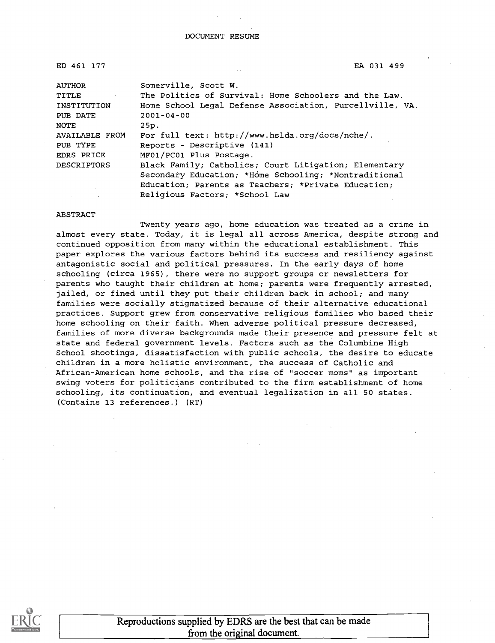| ED 461 177         | EA 031 499                                               |  |  |
|--------------------|----------------------------------------------------------|--|--|
| <b>AUTHOR</b>      | Somerville, Scott W.                                     |  |  |
| TITLE              | The Politics of Survival: Home Schoolers and the Law.    |  |  |
| INSTITUTION        | Home School Legal Defense Association, Purcellville, VA. |  |  |
| PUB DATE           | $2001 - 04 - 00$                                         |  |  |
| NOTE               | 25p.                                                     |  |  |
| AVAILABLE FROM     | For full text: http://www.hslda.org/docs/nche/.          |  |  |
| PUB TYPE           | Reports - Descriptive (141)                              |  |  |
| <b>EDRS PRICE</b>  | MF01/PC01 Plus Postage.                                  |  |  |
| <b>DESCRIPTORS</b> | Black Family; Catholics; Court Litigation; Elementary    |  |  |
|                    | Secondary Education; *Home Schooling; *Nontraditional    |  |  |
|                    | Education; Parents as Teachers; *Private Education;      |  |  |
|                    | Religious Factors; *School Law                           |  |  |

#### ABSTRACT

Twenty years ago, home education was treated as a crime in almost every state. Today, it is legal all across America, despite strong and continued opposition from many within the educational establishment. This paper explores the various factors behind its success and resiliency against antagonistic social and political pressures. In the early days of home schooling (circa 1965), there were no support groups or newsletters for parents who taught their children at home; parents were frequently arrested, jailed, or fined until they put their children back in school; and many families were socially stigmatized because of their alternative educational practices. Support grew from conservative religious families who based their home schooling on their faith. When adverse political pressure decreased, families of more diverse backgrounds made their presence and pressure felt at state and federal government levels. Factors such as the Columbine High School shootings, dissatisfaction with public schools, the desire to educate children in a more holistic environment, the success of Catholic and African-American home schools, and the rise of "soccer moms" as important swing voters for politicians contributed to the firm establishment of home schooling, its continuation, and eventual legalization in all 50 states. (Contains 13 references.) (RT)



Reproductions supplied by EDRS are the best that can be made from the original document.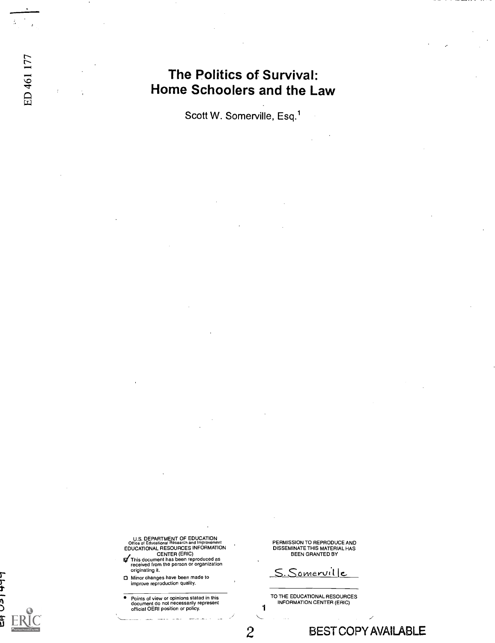# The Politics of Survival: Home Schoolers and the Law

ED 461 177

デヤーター サン

Scott W. Somerville, Esq.'

U.S. DEPARTMENT OF EDUCATION<br>Office of Educational Research and Improvement<br>EDUCATIONAL RESOURCES INFORMATION<br>
This document has been reproduced as<br>received from the person or organization

originating it.

□ Minor changes have been made to improve reproduction quality.

Points of view or opinions stated in this document do not necessarily represent official OERI position or policy.

> $\sim$  $\sim$   $\sim$

PERMISSION TO REPRODUCE AND<br>DISSEMINATE THIS MATERIAL HAS<br>BEEN GRANTED BY

<u>S. Somerville</u>

TO THE EDUCATIONAL RESOURCES INFORMATION CENTER (ERIC)

# 2 BEST COPY AVAILABLE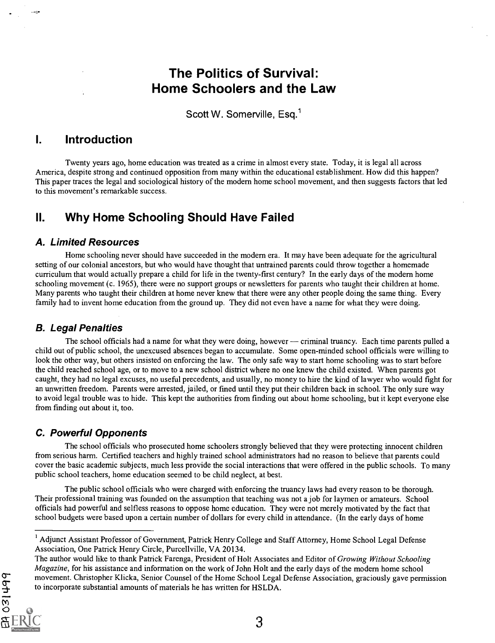# The Politics of Survival: Home Schoolers and the Law

Scott W. Somerville, Esq.<sup>1</sup>

### I. Introduction

 $-$  ,  $-$  ,  $-$  ,  $-$  ,  $-$  ,  $-$  ,  $-$  ,  $-$  ,  $-$  ,  $-$  ,  $-$  ,  $-$  ,  $-$  ,  $-$  ,  $-$  ,  $-$  ,  $-$  ,  $-$  ,  $-$  ,  $-$  ,  $-$  ,  $-$  ,  $-$  ,  $-$  ,  $-$  ,  $-$  ,  $-$  ,  $-$  ,  $-$  ,  $-$  ,  $-$  ,  $-$  ,  $-$  ,  $-$  ,  $-$  ,  $-$  ,  $-$  ,

Twenty years ago, home education was treated as a crime in almost every state. Today, it is legal all across America, despite strong and continued opposition from many within the educational establishment. How did this happen? This paper traces the legal and sociological history of the modem home school movement, and then suggests factors that led to this movement's remarkable success.

### II. Why Home Schooling Should Have Failed

#### A. Limited Resources

Home schooling never should have succeeded in the modem era. It may have been adequate for the agricultural setting of our colonial ancestors, but who would have thought that untrained parents could throw together a homemade curriculum that would actually prepare a child for life in the twenty-first century? In the early days of the modem home schooling movement (c. 1965), there were no support groups or newsletters for parents who taught their children at home. Many parents who taught their children at home never knew that there were any other people doing the same thing. Every family had to invent home education from the ground up. They did not even have a name for what they were doing.

#### B. Legal Penalties

The school officials had a name for what they were doing, however — criminal truancy. Each time parents pulled a child out of public school, the unexcused absences began to accumulate. Some open-minded school officials were willing to look the other way, but others insisted on enforcing the law. The only safe way to start home schooling was to start before the child reached school age, or to move to a new school district where no one knew the child existed. When parents got caught, they had no legal excuses, no useful precedents, and usually, no money to hire the kind of lawyer who would fight for an unwritten freedom. Parents were arrested, jailed, or fmed until they put their children back in school. The only sure way to avoid legal trouble was to hide. This kept the authorities from finding out about home schooling, but it kept everyone else from finding out about it, too.

#### C. Powerful Opponents

The school officials who prosecuted home schoolers strongly believed that they were protecting innocent children from serious harm. Certified teachers and highly trained school administrators had no reason to believe that parents could cover the basic academic subjects, much less provide the social interactions that were offered in the public schools. To many public school teachers, home education seemed to be child neglect, at best.

The public school officials who were charged with enforcing the truancy laws had every reason to be thorough. Their professional training was founded on the assumption that teaching was not a job for laymen or amateurs. School officials had powerful and selfless reasons to oppose home education. They were not merely motivated by the fact that school budgets were based upon a certain number of dollars for every child in attendance. (In the early days of home

<sup>&</sup>lt;sup>1</sup> Adjunct Assistant Professor of Government, Patrick Henry College and Staff Attorney, Home School Legal Defense Association, One Patrick Henry Circle, Purcellville, VA 20134.

The author would like to thank Patrick Farenga, President of Holt Associates and Editor of Growing Without Schooling<br>Magazine, for his assistance and information on the work of John Holt and the early days of the modern ho movement. Christopher Klicka, Senior Counsel of the Home School Legal Defense Association, graciously gave permission to incorporate substantial amounts of materials he has written for HSLDA.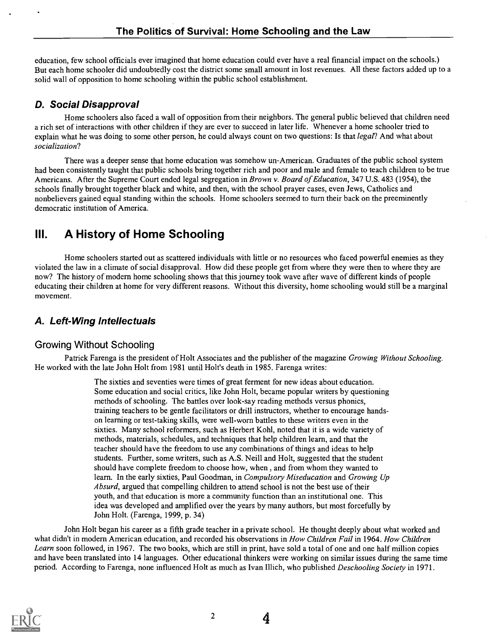education, few school officials ever imagined that home education could ever have a real financial impact on the schools.) But each home schooler did undoubtedly cost the district some small amount in lost revenues. All these factors added up to a solid wall of opposition to home schooling within the public school establishment.

#### D. Social Disapproval

Home schoolers also faced a wall of opposition from their neighbors. The general public believed that children need a rich set of interactions with other children if they are ever to succeed in later life. Whenever a home schooler tried to explain what he was doing to some other person, he could always count on two questions: Is that *legal*? And what about socialization?

There was a deeper sense that home education was somehow un-American. Graduates of the public school system had been consistently taught that public schools bring together rich and poor and male and female to teach children to be true Americans. After the Supreme Court ended legal segregation in Brown v. Board of Education, 347 U.S. 483 (1954), the schools finally brought together black and white, and then, with the school prayer cases, even Jews, Catholics and nonbelievers gained equal standing within the schools. Home schoolers seemed to turn their back on the preeminently democratic institution of America.

## III. A History of Home Schooling

Home schoolers started out as scattered individuals with little or no resources who faced powerful enemies as they violated the law in a climate of social disapproval. How did these people get from where they were then to where they are now? The history of modern home schooling shows that this journey took wave after wave of different kinds of people educating their children at home for very different reasons. Without this diversity, home schooling would still be a marginal movement.

### A. Left-Wing Intellectuals

#### Growing Without Schooling

Patrick Farenga is the president of Holt Associates and the publisher of the magazine Growing Without Schooling. He worked with the late John Holt from 1981 until Holt's death in 1985. Farenga writes:

> The sixties and seventies were times of great ferment for new ideas about education. Some education and social critics, like John Holt, became popular writers by questioning methods of schooling. The battles over look-say reading methods versus phonics, training teachers to be gentle facilitators or drill instructors, whether to encourage handson learning or test-taking skills, were well-worn battles to these writers even in the sixties. Many school reformers, such as Herbert Kohl, noted that it is a wide variety of methods, materials, schedules, and techniques that help children learn, and that the teacher should have the freedom to use any combinations of things and ideas to help students. Further, some writers, such as A.S. Neill and Holt, suggested that the student should have complete freedom to choose how, when , and from whom they wanted to learn. In the early sixties, Paul Goodman, in Compulsory Miseducation and Growing Up Absurd, argued that compelling children to attend school is not the best use of their youth, and that education is more a community function than an institutional one. This idea was developed and amplified over the years by many authors, but most forcefully by John Holt. (Farenga, 1999, p. 34)

John Holt began his career as a fifth grade teacher in a private school. He thought deeply about what worked and what didn't in modern American education, and recorded his observations in How Children Fail in 1964. How Children Learn soon followed, in 1967. The two books, which are still in print, have sold a total of one and one half million copies and have been translated into 14 languages. Other educational thinkers were working on similar issues during the same time period. According to Farenga, none influenced Holt as much as Ivan Illich, who published *Deschooling Society* in 1971.



<sup>2</sup>  $\frac{4}{9}$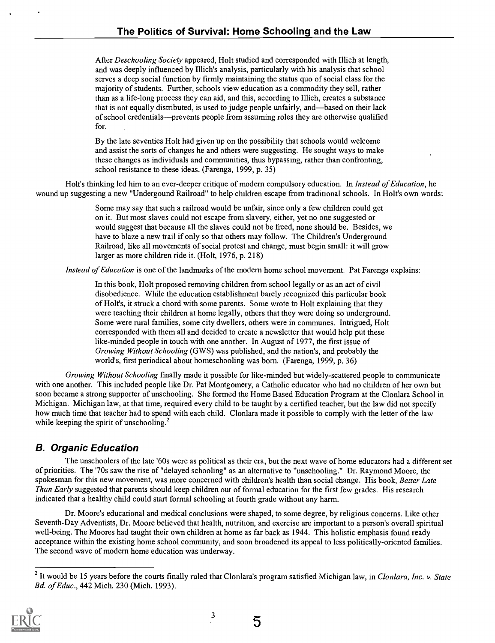After Deschooling Society appeared, Holt studied and corresponded with Illich at length, and was deeply influenced by Illich's analysis, particularly with his analysis that school serves a deep social function by firmly maintaining the status quo of social class for the majority of students. Further, schools view education as a commodity they sell, rather than as a life-long process they can aid, and this, according to Illich, creates a substance that is not equally distributed, is used to judge people unfairly, and—based on their lack of school credentials—prevents people from assuming roles they are otherwise qualified for.

By the late seventies Holt had given up on the possibility that schools would welcome and assist the sorts of changes he and others were suggesting. He sought ways to make these changes as individuals and communities, thus bypassing, rather than confronting, school resistance to these ideas. (Farenga, 1999, p. 35)

Holt's thinking led him to an ever-deeper critique of modern compulsory education. In *Instead of Education*, he wound up suggesting a new "Undergound Railroad" to help children escape from traditional schools. In Holt's own words:

> Some may say that such a railroad would be unfair, since only a few children could get on it. But most slaves could not escape from slavery, either, yet no one suggested or would suggest that because all the slaves could not be freed, none should be. Besides, we have to blaze a new trail if only so that others may follow. The Children's Underground Railroad, like all movements of social protest and change, must begin small: it will grow larger as more children ride it. (Holt, 1976, p. 218)

Instead of Education is one of the landmarks of the modern home school movement. Pat Farenga explains:

In this book, Holt proposed removing children from school legally or as an act of civil disobedience. While the education establishment barely recognized this particular book of Holt's, it struck a chord with some parents. Some wrote to Holt explaining that they were teaching their children at home legally, others that they were doing so underground. Some were rural families, some city dwellers, others were in communes. Intrigued, Holt corresponded with them all and decided to create a newsletter that would help put these like-minded people in touch with one another. In August of 1977, the first issue of Growing Without Schooling (GWS) was published, and the nation's, and probably the world's, first periodical about homeschooling was born. (Farenga, 1999, p. 36)

Growing Without Schooling finally made it possible for like-minded but widely-scattered people to communicate with one another. This included people like Dr. Pat Montgomery, a Catholic educator who had no children of her own but soon became a strong supporter of unschooling. She formed the Home Based Education Program at the Clonlara School in Michigan. Michigan law, at that time, required every child to be taught by a certified teacher, but the law did not specify how much time that teacher had to spend with each child. Clonlara made it possible to comply with the letter of the law while keeping the spirit of unschooling.<sup>2</sup>

### B. Organic Education

The unschoolers of the late '60s were as political as their era, but the next wave of home educators had a different set of priorities. The '70s saw the rise of "delayed schooling" as an alternative to "unschooling." Dr. Raymond Moore, the spokesman for this new movement, was more concerned with children's health than social change. His book, Better Late Than Early suggested that parents should keep children out of formal education for the first few grades. His research indicated that a healthy child could start formal schooling at fourth grade without any harm.

Dr. Moore's educational and medical conclusions were shaped, to some degree, by religious concerns. Like other Seventh-Day Adventists, Dr. Moore believed that health, nutrition, and exercise are important to a person's overall spiritual well-being. The Moores had taught their own children at home as far back as 1944. This holistic emphasis found ready acceptance within the existing home school community, and soon broadened its appeal to less politically-oriented families. The second wave of modern home education was underway.

<sup>&</sup>lt;sup>2</sup> It would be 15 years before the courts finally ruled that Clonlara's program satisfied Michigan law, in Clonlara, Inc. v. State Bd. of Educ., 442 Mich. 230 (Mich. 1993).

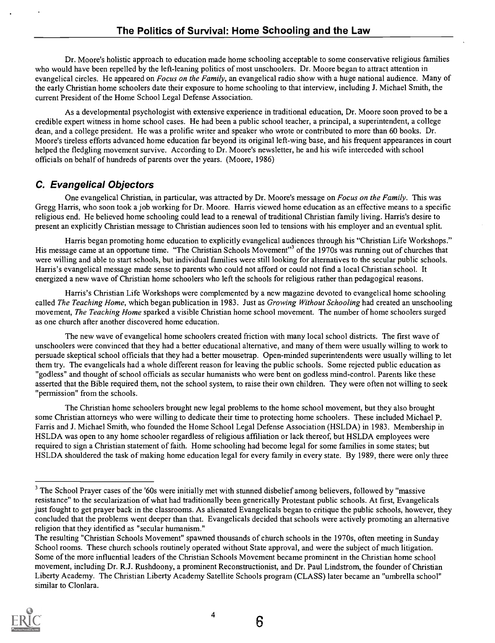Dr. Moore's holistic approach to education made home schooling acceptable to some conservative religious families who would have been repelled by the left-leaning politics of most unschoolers. Dr. Moore began to attract attention in evangelical circles. He appeared on Focus on the Family, an evangelical radio show with a huge national audience. Many of the early Christian home schoolers date their exposure to home schooling to that interview, including J. Michael Smith, the current President of the Home School Legal Defense Association.

As a developmental psychologist with extensive experience in traditional education, Dr. Moore soon proved to be a credible expert witness in home school cases. He had been a public school teacher, a principal, a superintendent, a college dean, and a college president. He was a prolific writer and speaker who wrote or contributed to more than 60 books. Dr. Moore's tireless efforts advanced home education far beyond its original left-wing base, and his frequent appearances in court helped the fledgling movement survive. According to Dr. Moore's newsletter, he and his wife interceded with school officials on behalf of hundreds of parents over the years. (Moore, 1986)

### C. Evangelical Objectors

One evangelical Christian, in particular, was attracted by Dr. Moore's message on Focus on the Family. This was Gregg Harris, who soon took a job working for Dr. Moore. Harris viewed home education as an effective means to a specific religious end. He believed home schooling could lead to a renewal of traditional Christian family living. Harris's desire to present an explicitly Christian message to Christian audiences soon led to tensions with his employer and an eventual split.

Harris began promoting home education to explicitly evangelical audiences through his "Christian Life Workshops." His message came at an opportune time. "The Christian Schools Movement"<sup>3</sup> of the 1970s was running out of churches that were willing and able to start schools, but individual families were still looking for alternatives to the secular public schools. Harris's evangelical message made sense to parents who could not afford or could not find a local Christian school. It energized a new wave of Christian home schoolers who left the schools for religious rather than pedagogical reasons.

Harris's Christian Life Workshops were complemented by a new magazine devoted to evangelical home schooling called The Teaching Home, which began publication in 1983. Just as Growing Without Schooling had created an unschooling movement, The Teaching Home sparked a visible Christian home school movement. The number of home schoolers surged as one church after another discovered home education.

The new wave of evangelical home schoolers created friction with many local school districts. The first wave of unschoolers were convinced that they had a better educational alternative, and many of them were usually willing to work to persuade skeptical school officials that they had a better mousetrap. Open-minded superintendents were usually willing to let them try. The evangelicals had a whole different reason for leaving the public schools. Some rejected public education as "godless" and thought of school officials as secular humanists who were bent on godless mind-control. Parents like these asserted that the Bible required them, not the school system, to raise their own children. They were often not willing to seek "permission" from the schools.

The Christian home schoolers brought new legal problems to the home school movement, but they also brought some Christian attorneys who were willing to dedicate their time to protecting home schoolers. These included Michael P. Farris and J. Michael Smith, who founded the Home School Legal Defense Association (HSLDA) in 1983. Membership in HSLDA was open to any home schooler regardless of religious affiliation or lack thereof, but HSLDA employees were required to sign a Christian statement of faith. Home schooling had become legal for some families in some states; but HSLDA shouldered the task of making home education legal for every family in every state. By 1989, there were only three

The resulting "Christian Schools Movement" spawned thousands of church schools in the 1970s, often meeting in Sunday School rooms. These church schools routinely operated without State approval, and were the subject of much litigation. Some of the more influential leaders of the Christian Schools Movement became prominent in the Christian home school movement, including Dr. R.J. Rushdoony, a prominent Reconstructionist, and Dr. Paul Lindstrom, the founder of Christian Liberty Academy. The Christian Liberty Academy Satellite Schools program (CLASS) later became an "umbrella school" similar to Clonlara.



<sup>&</sup>lt;sup>3</sup> The School Prayer cases of the '60s were initially met with stunned disbelief among believers, followed by "massive resistance" to the secularization of what had traditionally been generically Protestant public schools. At first, Evangelicals just fought to get prayer back in the classrooms. As alienated Evangelicals began to critique the public schools, however, they concluded that the problems went deeper than that. Evangelicals decided that schools were actively promoting an alternative religion that they identified as "secular humanism."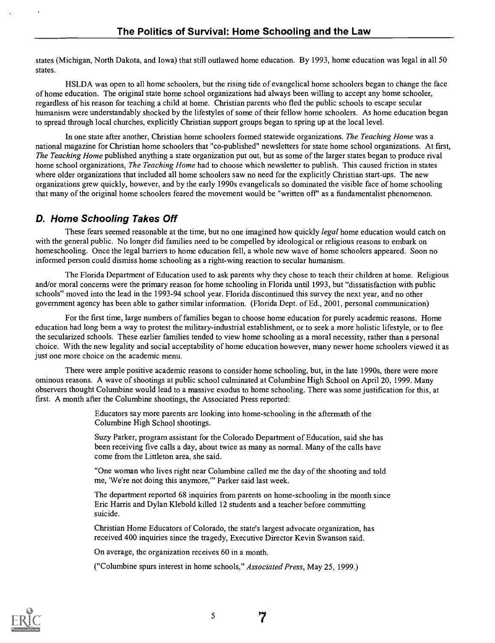states (Michigan, North Dakota, and Iowa) that still outlawed home education. By 1993, home education was legal in all 50 states.

HSLDA was open to all home schoolers, but the rising tide of evangelical home schoolers began to change the face of home education. The original state home school organizations had always been willing to accept any home schooler, regardless of his reason for teaching a child at home. Christian parents who fled the public schools to escape secular humanism were understandably shocked by the lifestyles of some of their fellow home schoolers. As home education began to spread through local churches, explicitly Christian support groups began to spring up at the local level.

In one state after another, Christian home schoolers formed statewide organizations. The Teaching Home was a national magazine for Christian home schoolers that "co-published" newsletters for state home school organizations. At first, The Teaching Home published anything a state organization put out, but as some of the larger states began to produce rival home school organizations, *The Teaching Home* had to choose which newsletter to publish. This caused friction in states where older organizations that included all home schoolers saw no need for the explicitly Christian start-ups. The new organizations grew quickly, however, and by the early 1990s evangelicals so dominated the visible face of home schooling that many of the original home schoolers feared the movement would be "written off' as a fundamentalist phenomenon.

#### D. Home Schooling Takes Off

These fears seemed reasonable at the time, but no one imagined how quickly *legal* home education would catch on with the general public. No longer did families need to be compelled by ideological or religious reasons to embark on homeschooling. Once the legal barriers to home education fell, a whole new wave of home schoolers appeared. Soon no informed person could dismiss home schooling as a right-wing reaction to secular humanism.

The Florida Department of Education used to ask parents why they chose to teach their children at home. Religious and/or moral concerns were the primary reason for home schooling in Florida until 1993, but "dissatisfaction with public schools" moved into the lead in the 1993-94 school year. Florida discontinued this survey the next year, and no other government agency has been able to gather similar information. (Florida Dept. of Ed., 2001, personal communication)

For the first time, large numbers of families began to choose home education for purely academic reasons. Home education had long been a way to protest the military-industrial establishment, or to seek a more holistic lifestyle, or to flee the secularized schools. These earlier families tended to view home schooling as a moral necessity, rather than a personal choice. With the new legality and social acceptability of home education however, many newer home schoolers viewed it as just one more choice on the academic menu.

There were ample positive academic reasons to consider home schooling, but, in the late 1990s, there were more ominous reasons. A wave of shootings at public school culminated at Columbine High School on April 20, 1999. Many observers thought Columbine would lead to a massive exodus to home schooling. There was some justification for this, at first. A month after the Columbine shootings, the Associated Press reported:

> Educators say more parents are looking into home-schooling in the aftermath of the Columbine High School shootings.

Suzy Parker, program assistant for the Colorado Department of Education, said she has been receiving five calls a day, about twice as many as normal. Many of the calls have come from the Littleton area, she said.

"One woman who lives right near Columbine called me the day of the shooting and told me, 'We're not doing this anymore," Parker said last week.

The department reported 68 inquiries from parents on home-schooling in the month since Eric Harris and Dylan Klebold killed 12 students and a teacher before committing suicide.

Christian Home Educators of Colorado, the state's largest advocate organization, has received 400 inquiries since the tragedy, Executive Director Kevin Swanson said.

On average, the organization receives 60 in a month.

("Columbine spurs interest in home schools," Associated Press, May 25, 1999.)

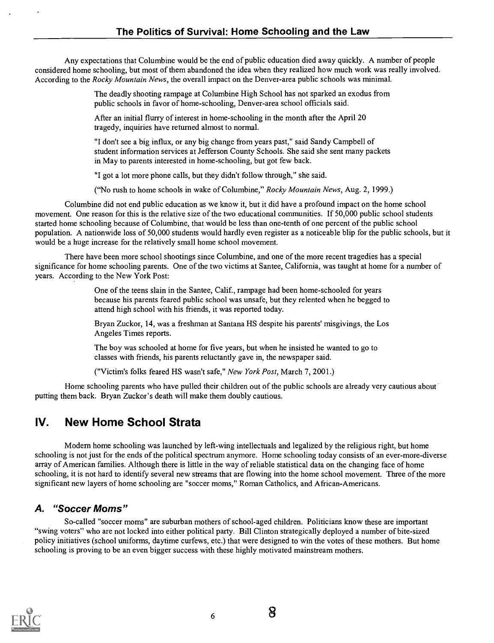Any expectations that Columbine would be the end of public education died away quickly. A number of people considered home schooling, but most of them abandoned the idea when they realized how much work was really involved. According to the Rocky Mountain News, the overall impact on the Denver-area public schools was minimal.

> The deadly shooting rampage at Columbine High School has not sparked an exodus from public schools in favor of home-schooling, Denver-area school officials said.

After an initial flurry of interest in home-schooling in the month after the April 20 tragedy, inquiries have returned almost to normal.

"I don't see a big influx, or any big change from years past," said Sandy Campbell of student information services at Jefferson County Schools. She said she sent many packets in May to parents interested in home-schooling, but got few back.

"I got a lot more phone calls, but they didn't follow through," she said.

("No rush to home schools in wake of Columbine," Rocky Mountain News, Aug. 2, 1999.)

Columbine did not end public education as we know it, but it did have a profound impact on the home school movement. One reason for this is the relative size of the two educational communities. If 50,000 public school students started home schooling because of Columbine, that would be less than one-tenth of one percent of the public school population. A nationwide loss of 50,000 students would hardly even register as a noticeable blip for the public schools, but it would be a huge increase for the relatively small home school movement.

There have been more school shootings since Columbine, and one of the more recent tragedies has a special significance for home schooling parents. One of the two victims at Santee, California, was taught at home for a number of years. According to the New York Post:

> One of the teens slain in the Santee, Calif., rampage had been home-schooled for years because his parents feared public school was unsafe, but they relented when he begged to attend high school with his friends, it was reported today.

> Bryan Zuckor, 14, was a freshman at Santana HS despite his parents' misgivings, the Los Angeles Times reports.

The boy was schooled at home for five years, but when he insisted he wanted to go to classes with friends, his parents reluctantly gave in, the newspaper said.

("Victim's folks feared HS wasn't safe," New York Post, March 7, 2001.)

Home schooling parents who have pulled their children out of the public schools are already very cautious about putting them back. Bryan Zuckor's death will make them doubly cautious.

### IV. New Home School Strata

Modern home schooling was launched by left-wing intellectuals and legalized by the religious right, but home schooling is not just for the ends of the political spectrum anymore. Home schooling today consists of an ever-more-diverse array of American families. Although there is little in the way of reliable statistical data on the changing face of home schooling, it is not hard to identify several new streams that are flowing into the home school movement. Three of the more significant new layers of home schooling are "soccer moms," Roman Catholics, and African-Americans.

#### A. "Soccer Moms"

So-called "soccer moms" are suburban mothers of school-aged children. Politicians know these are important "swing voters" who are not locked into either political party. Bill Clinton strategically deployed a number of bite-sized policy initiatives (school uniforms, daytime curfews, etc.) that were designed to win the votes of these mothers. But home schooling is proving to be an even bigger success with these highly motivated mainstream mothers.



6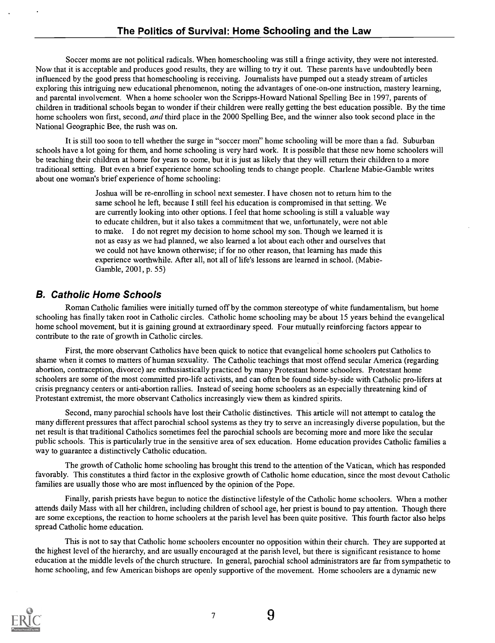Soccer moms are not political radicals. When homeschooling was still a fringe activity, they were not interested. Now that it is acceptable and produces good results, they are willing to try it out. These parents have undoubtedly been influenced by the good press that homeschooling is receiving. Journalists have pumped out a steady stream of articles exploring this intriguing new educational phenomenon, noting the advantages of one-on-one instruction, mastery learning, and parental involvement. When a home schooler won the Scripps-Howard National Spelling Bee in 1997, parents of children in traditional schools began to wonder if their children were really getting the best education possible. By the time home schoolers won first, second, and third place in the 2000 Spelling Bee, and the winner also took second place in the National Geographic Bee, the rush was on.

It is still too soon to tell whether the surge in "soccer mom" home schooling will be more than a fad. Suburban schools have a lot going for them, and home schooling is very hard work. It is possible that these new home schoolers will be teaching their children at home for years to come, but it is just as likely that they will return their children to a more traditional setting. But even a brief experience home schooling tends to change people. Charlene Mabie-Gamble writes about one woman's brief experience of home schooling:

> Joshua will be re-enrolling in school next semester. I have chosen not to return him to the same school he left, because I still feel his education is compromised in that setting. We are currently looking into other options. I feel that home schooling is still a valuable way to educate children, but it also takes a commitment that we, unfortunately, were not able to make. I do not regret my decision to home school my son. Though we learned it is not as easy as we had planned, we also learned a lot about each other and ourselves that we could not have known otherwise; if for no other reason, that learning has made this experience worthwhile. After all, not all of life's lessons are learned in school. (Mabie-Gamble, 2001, p. 55)

#### B. Catholic Home Schools

Roman Catholic families were initially turned off by the common stereotype of white fundamentalism, but home schooling has finally taken root in Catholic circles. Catholic home schooling may be about 15 years behind the evangelical home school movement, but it is gaining ground at extraordinary speed. Four mutually reinforcing factors appear to contribute to the rate of growth in Catholic circles.

First, the more observant Catholics have been quick to notice that evangelical home schoolers put Catholics to shame when it comes to matters of human sexuality. The Catholic teachings that most offend secular America (regarding abortion, contraception, divorce) are enthusiastically practiced by many Protestant home schoolers. Protestant home schoolers are some of the most committed pro-life activists, and can often be found side-by-side with Catholic pro-lifers at crisis pregnancy centers or anti-abortion rallies. Instead of seeing home schoolers as an especially threatening kind of Protestant extremist, the more observant Catholics increasingly view them as kindred spirits.

Second, many parochial schools have lost their Catholic distinctives. This article will not attempt to catalog the many different pressures that affect parochial school systems as they try to serve an increasingly diverse population, but the net result is that traditional Catholics sometimes feel the parochial schools are becoming more and more like the secular public schools. This is particularly true in the sensitive area of sex education. Home education provides Catholic families a way to guarantee a distinctively Catholic education.

The growth of Catholic home schooling has brought this trend to the attention of the Vatican, which has responded favorably. This constitutes a third factor in the explosive growth of Catholic home education, since the most devout Catholic families are usually those who are most influenced by the opinion of the Pope.

Finally, parish priests have begun to notice the distinctive lifestyle of the Catholic home schoolers. When a mother attends daily Mass with all her children, including children of school age, her priest is bound to pay attention. Though there are some exceptions, the reaction to home schoolers at the parish level has been quite positive. This fourth factor also helps spread Catholic home education.

This is not to say that Catholic home schoolers encounter no opposition within their church. They are supported at the highest level of the hierarchy, and are usually encouraged at the parish level, but there is significant resistance to home education at the middle levels of the church structure. In general, parochial school administrators are far from sympathetic to home schooling, and few American bishops are openly supportive of the movement. Home schoolers are a dynamic new



 $\overline{7}$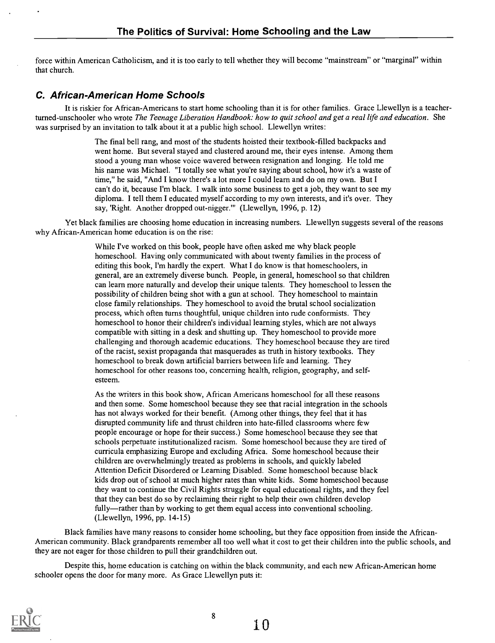force within American Catholicism, and it is too early to tell whether they will become "mainstream" or "marginal" within that church.

#### C. African-American Home Schools

It is riskier for African-Americans to start home schooling than it is for other families. Grace Llewellyn is a teacherturned-unschooler who wrote The Teenage Liberation Handbook: how to quit school and get a real life and education. She was surprised by an invitation to talk about it at a public high school. Llewellyn writes:

> The final bell rang, and most of the students hoisted their textbook-filled backpacks and went home. But several stayed and clustered around me, their eyes intense. Among them stood a young man whose voice wavered between resignation and longing. He told me his name was Michael. "I totally see what you're saying about school, how it's a waste of time," he said, "And I know there's a lot more I could learn and do on my own. But I can't do it, because I'm black. I walk into some business to get a job, they want to see my diploma. I tell them I educated myself according to my own interests, and it's over. They say, 'Right. Another dropped out-nigger." (Llewellyn, 1996, p. 12)

Yet black families are choosing home education in increasing numbers. Llewellyn suggests several of the reasons why African-American home education is on the rise:

> While I've worked on this book, people have often asked me why black people homeschool. Having only communicated with about twenty families in the process of editing this book, I'm hardly the expert. What I do know is that homeschoolers, in general, are an extremely diverse bunch. People, in general, homeschool so that children can learn more naturally and develop their unique talents. They homeschool to lessen the possibility of children being shot with a gun at school. They homeschool to maintain close family relationships. They homeschool to avoid the brutal school socialization process, which often turns thoughtful, unique children into rude conformists. They homeschool to honor their children's individual learning styles, which are not always compatible with sitting in a desk and shutting up. They homeschool to provide more challenging and thorough academic educations. They homeschool because they are tired of the racist, sexist propaganda that masquerades as truth in history textbooks. They homeschool to break down artificial barriers between life and learning. They homeschool for other reasons too, concerning health, religion, geography, and selfesteem.

> As the writers in this book show, African Americans homeschool for all these reasons and then some. Some homeschool because they see that racial integration in the schools has not always worked for their benefit. (Among other things, they feel that it has disrupted community life and thrust children into hate-filled classrooms where few people encourage or hope for their success.) Some homeschool because they see that schools perpetuate institutionalized racism. Some homeschool because they are tired of curricula emphasizing Europe and excluding Africa. Some homeschool because their children are overwhelmingly treated as problems in schools, and quickly labeled Attention Deficit Disordered or Learning Disabled. Some homeschool because black kids drop out of school at much higher rates than white kids. Some homeschool because they want to continue the Civil Rights struggle for equal educational rights, and they feel that they can best do so by reclaiming their right to help their own children develop fully—rather than by working to get them equal access into conventional schooling. (Llewellyn, 1996, pp. 14-15)

Black families have many reasons to consider home schooling, but they face opposition from inside the African-American community. Black grandparents remember all too well what it cost to get their children into the public schools, and they are not eager for those children to pull their grandchildren out.

Despite this, home education is catching on within the black community, and each new African-American home schooler opens the door for many more. As Grace Llewellyn puts it:

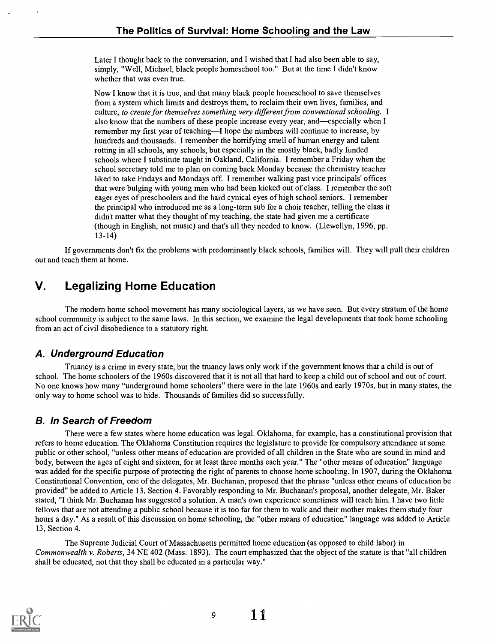Later I thought back to the conversation, and I wished that I had also been able to say, simply, "Well, Michael, black people homeschool too." But at the time I didn't know whether that was even true.

Now I know that it is true, and that many black people homeschool to save themselves from a system which limits and destroys them, to reclaim their own lives, families, and culture, to create for themselves something very different from conventional schooling. I also know that the numbers of these people increase every year, and—especially when I remember my first year of teaching—I hope the numbers will continue to increase, by hundreds and thousands. I remember the horrifying smell of human energy and talent rotting in all schools, any schools, but especially in the mostly black, badly funded schools where I substitute taught in Oakland, California. I remember a Friday when the school secretary told me to plan on coming back Monday because the chemistry teacher liked to take Fridays and Mondays off. I remember walking past vice principals' offices that were bulging with young men who had been kicked out of class. I remember the soft eager eyes of preschoolers and the hard cynical eyes of high school seniors. I remember the principal who introduced me as a long-term sub for a choir teacher, telling the class it didn't matter what they thought of my teaching, the state had given me a certificate (though in English, not music) and that's all they needed to know. (Llewellyn, 1996, pp. 13-14)

If governments don't fix the problems with predominantly black schools, families will. They will pull their children out and teach them at home.

### V. Legalizing Home Education

The modern home school movement has many sociological layers, as we have seen. But every stratum of the home school community is subject to the same laws. In this section, we examine the legal developments that took home schooling from an act of civil disobedience to a statutory right.

#### A. Underground Education

Truancy is a crime in every state, but the truancy laws only work if the government knows that a child is out of school. The home schoolers of the 1960s discovered that it is not all that hard to keep a child out of school and out of court. No one knows how many "underground home schoolers" there were in the late 1960s and early 1970s, but in many states, the only way to home school was to hide. Thousands of families did so successfully.

#### B. In Search of Freedom

There were a few states where home education was legal. Oklahoma, for example, has a constitutional provision that refers to home education. The Oklahoma Constitution requires the legislature to provide for compulsory attendance at some public or other school, "unless other means of education are provided of all children in the State who are sound in mind and body, between the ages of eight and sixteen, for at least three months each year." The "other means of education" language was added for the specific purpose of protecting the right of parents to choose home schooling. In 1907, during the Oklahoma Constitutional Convention, one of the delegates, Mr. Buchanan, proposed that the phrase "unless other means of education be provided" be added to Article 13, Section 4. Favorably responding to Mr. Buchanan's proposal, another delegate, Mr. Baker stated, "I think Mr. Buchanan has suggested a solution. A man's own experience sometimes will teach him. I have two little fellows that are not attending a public school because it is too far for them to walk and their mother makes them study four hours a day." As a result of this discussion on home schooling, the "other means of education" language was added to Article 13, Section 4.

The Supreme Judicial Court of Massachusetts permitted home education (as opposed to child labor) in Commonwealth v. Roberts, 34 NE 402 (Mass. 1893). The court emphasized that the object of the statute is that "all children shall be educated, not that they shall be educated in a particular way."



9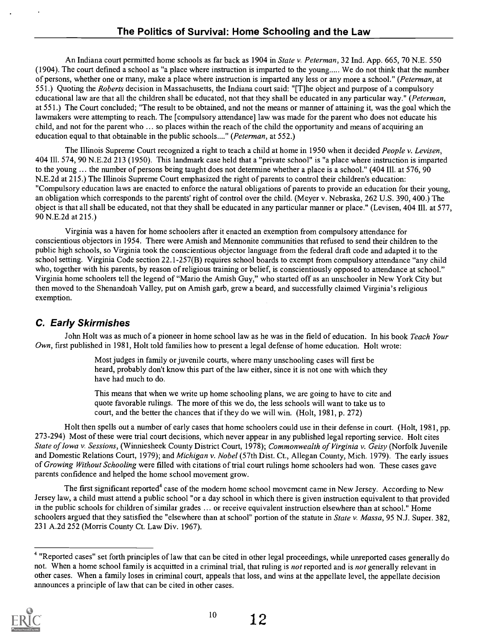An Indiana court permitted home schools as far back as 1904 in State v. Peterman, 32 Ind. App. 665, 70 N.E. 550  $(1904)$ . The court defined a school as "a place where instruction is imparted to the young..... We do not think that the number of persons, whether one or many, make a place where instruction is imparted any less or any more a school." (Peterman, at 551.) Quoting the Roberts decision in Massachusetts, the Indiana court said: "[T]he object and purpose of a compulsory educational law are that all the children shall be educated, not that they shall be educated in any particular way." (Peterman, at 551.) The Court concluded; "The result to be obtained, and not the means or manner of attaining it, was the goal which the lawmakers were attempting to reach. The [compulsory attendance] law was made for the parent who does not educate his child, and not for the parent who ... so places within the reach of the child the opportunity and means of acquiring an education equal to that obtainable in the public schools...." (Peterman, at 552.)

The Illinois Supreme Court recognized a right to teach a child at home in 1950 when it decided People v. Levisen, 404 Ill. 574, 90 N.E.2d 213 (1950). This landmark case held that a "private school" is "a place where instruction is imparted to the young ... the number of persons being taught does not determine whether a place is a school." (404 Ill. at 576, 90 N.E.2d at 215.) The Illinois Supreme Court emphasized the right of parents to control their children's education: "Compulsory education laws are enacted to enforce the natural obligations of parents to provide an education for their young, an obligation which corresponds to the parents' right of control over the child. (Meyer v. Nebraska, 262 U.S. 390, 400.) The object is that all shall be educated, not that they shall be educated in any particular manner or place." (Levisen, 404 Ill. at 577, 90 N.E.2d at 215.)

Virginia was a haven for home schoolers after it enacted an exemption from compulsory attendance for conscientious objectors in 1954. There were Amish and Mennonite communities that refused to send their children to the public high schools, so Virginia took the conscientious objector language from the federal draft code and adapted it to the school setting. Virginia Code section 22.1-257(B) requires school boards to exempt from compulsory attendance "any child who, together with his parents, by reason of religious training or belief, is conscientiously opposed to attendance at school." Virginia home schoolers tell the legend of "Mario the Amish Guy," who started off as an unschooler in New York City but then moved to the Shenandoah Valley, put on Amish garb, grew a beard, and successfully claimed Virginia's religious exemption.

#### C. Early Skirmishes

John Holt was as much of a pioneer in home school law as he was in the field of education. In his book Teach Your Own, first published in 1981, Holt told families how to present a legal defense of home education. Holt wrote:

> Most judges in family or juvenile courts, where many unschooling cases will first be heard, probably don't know this part of the law either, since it is not one with which they have had much to do.

This means that when we write up home schooling plans, we are going to have to cite and quote favorable rulings. The more of this we do, the less schools will want to take us to court, and the better the chances that if they do we will win. (Holt, 1981, p. 272)

Holt then spells out a number of early cases that home schoolers could use in their defense in court. (Holt, 1981, pp. 273-294) Most of these were trial court decisions, which never appear in any published legal reporting service. Holt cites State of Iowa v. Sessions, (Winniesheek County District Court, 1978); Commonwealth of Virginia v. Geisy (Norfolk Juvenile and Domestic Relations Court, 1979); and Michigan v. Nobel (57th Dist. Ct., Allegan County, Mich. 1979). The early issues of Growing Without Schooling were filled with citations of trial court rulings home schoolers had won. These cases gave parents confidence and helped the home school movement grow.

The first significant reported<sup>4</sup> case of the modern home school movement came in New Jersey. According to New Jersey law, a child must attend a public school "or a day school in which there is given instruction equivalent to that provided in the public schools for children of similar grades ... or receive equivalent instruction elsewhere than at school." Home schoolers argued that they satisfied the "elsewhere than at school" portion of the statute in State v. Massa, 95 N.J. Super. 382, 231 A.2d 252 (Morris County Ct. Law Div. 1967).

<sup>4 &</sup>quot;Reported cases" set forth principles of law that can be cited in other legal proceedings, while unreported cases generally do not. When a home school family is acquitted in a criminal trial, that ruling is not reported and is not generally relevant in other cases. When a family loses in criminal court, appeals that loss, and wins at the appellate level, the appellate decision announces a principle of law that can be cited in other cases.

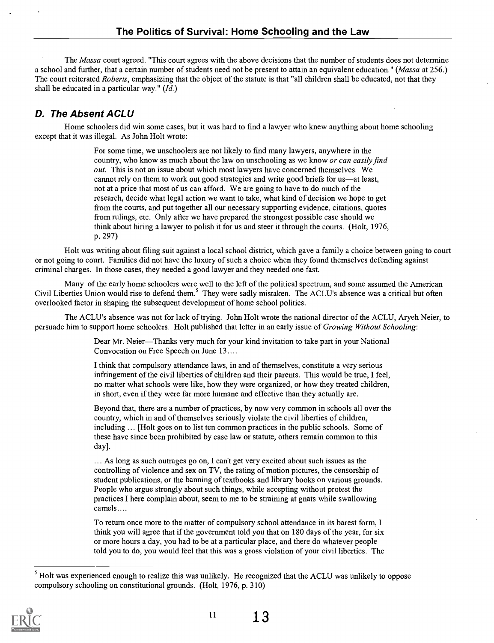The Massa court agreed. "This court agrees with the above decisions that the number of students does not determine a school and further, that a certain number of students need not be present to attain an equivalent education." (Massa at 256.) The court reiterated Roberts, emphasizing that the object of the statute is that "all children shall be educated, not that they shall be educated in a particular way."  $(Id.)$ 

#### D. The Absent ACLU

Home schoolers did win some cases, but it was hard to find a lawyer who knew anything about home schooling except that it was illegal. As John Holt wrote:

> For some time, we unschoolers are not likely to find many lawyers, anywhere in the country, who know as much about the law on unschooling as we know or can easily find out. This is not an issue about which most lawyers have concerned themselves. We cannot rely on them to work out good strategies and write good briefs for us—at least, not at a price that most of us can afford. We are going to have to do much of the research, decide what legal action we want to take, what kind of decision we hope to get from the courts, and put together all our necessary supporting evidence, citations, quotes from rulings, etc. Only after we have prepared the strongest possible case should we think about hiring a lawyer to polish it for us and steer it through the courts. (Holt, 1976, p. 297)

Holt was writing about filing suit against a local school district, which gave a family a choice between going to court or not going to court. Families did not have the luxury of such a choice when they found themselves defending against criminal charges. In those cases, they needed a good lawyer and they needed one fast.

Many of the early home schoolers were well to the left of the political spectrum, and some assumed the American Civil Liberties Union would rise to defend them.<sup>5</sup> They were sadly mistaken. The ACLU's absence was a critical but often overlooked factor in shaping the subsequent development of home school politics.

The ACLU's absence was not for lack of trying. John Holt wrote the national director of the ACLU, Aryeh Neier, to persuade him to support home schoolers. Holt published that letter in an early issue of Growing Without Schooling:

> Dear Mr. Neier—Thanks very much for your kind invitation to take part in your National Convocation on Free Speech on June 13....

> I think that compulsory attendance laws, in and of themselves, constitute a very serious infringement of the civil liberties of children and their parents. This would be true, I feel, no matter what schools were like, how they were organized, or how they treated children, in short, even if they were far more humane and effective than they actually are.

> Beyond that, there are a number of practices, by now very common in schools all over the country, which in and of themselves seriously violate the civil liberties of children, including ... [Holt goes on to list ten common practices in the public schools. Some of these have since been prohibited by case law or statute, others remain common to this day].

... As long as such outrages go on, I can't get very excited about such issues as the controlling of violence and sex on TV, the rating of motion pictures, the censorship of student publications, or the banning of textbooks and library books on various grounds. People who argue strongly about such things, while accepting without protest the practices I here complain about, seem to me to be straining at gnats while swallowing camels....

To return once more to the matter of compulsory school attendance in its barest form, I think you will agree that if the government told you that on 180 days of the year, for six or more hours a day, you had to be at a particular place, and there do whatever people told you to do, you would feel that this was a gross violation of your civil liberties. The

<sup>&</sup>lt;sup>5</sup> Holt was experienced enough to realize this was unlikely. He recognized that the ACLU was unlikely to oppose compulsory schooling on constitutional grounds. (Holt, 1976, p. 310)



 $11 \t 13$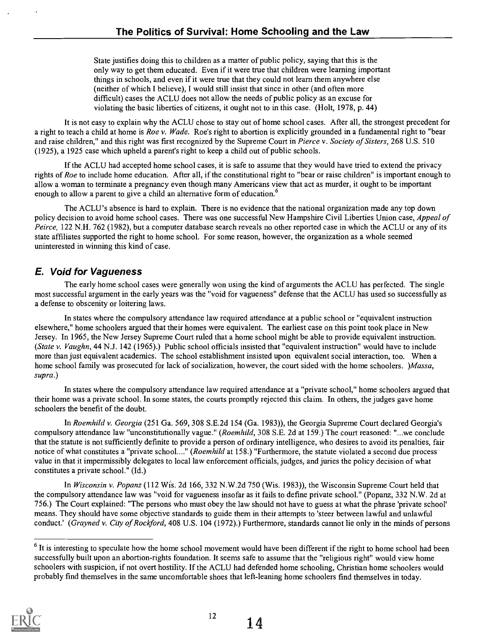State justifies doing this to children as a matter of public policy, saying that this is the only way to get them educated. Even if it were true that children were learning important things in schools, and even if it were true that they could not learn them anywhere else (neither of which I believe), I would still insist that since in other (and often more difficult) cases the ACLU does not allow the needs of public policy as an excuse for violating the basic liberties of citizens, it ought not to in this case. (Holt, 1978, p. 44)

It is not easy to explain why the ACLU chose to stay out of home school cases. After all, the strongest precedent for a right to teach a child at home is Roe v. Wade. Roe's right to abortion is explicitly grounded in a fundamental right to "bear and raise children," and this right was first recognized by the Supreme Court in Pierce v. Society of Sisters, 268 U.S. 510 (1925), a 1925 case which upheld a parent's right to keep a child out of public schools.

If the ACLU had accepted home school cases, it is safe to assume that they would have tried to extend the privacy rights of Roe to include home education. After all, if the constitutional right to "bear or raise children" is important enough to allow a woman to terminate a pregnancy even though many Americans view that act as murder, it ought to be important enough to allow a parent to give a child an alternative form of education.<sup>6</sup>

The ACLU's absence is hard to explain. There is no evidence that the national organization made any top down policy decision to avoid home school cases. There was one successful New Hampshire Civil Liberties Union case, Appeal of Peirce, 122 N.H. 762 (1982), but a computer database search reveals no other reported case in which the ACLU or any of its state affiliates supported the right to home school. For some reason, however, the organization as a whole seemed uninterested in winning this kind of case.

#### E. Void for Vagueness

The early home school cases were generally won using the kind of arguments the ACLU has perfected. The single most successful argument in the early years was the "void for vagueness" defense that the ACLU has used so successfully as a defense to obscenity or loitering laws.

In states where the compulsory attendance law required attendance at a public school or "equivalent instruction elsewhere," home schoolers argued that their homes were equivalent. The earliest case on this point took place in New Jersey. In 1965, the New Jersey Supreme Court ruled that a home school might be able to provide equivalent instruction. (State v. Vaughn, 44 N.J. 142 (1965).) Public school officials insisted that "equivalent instruction" would have to include more than just equivalent academics. The school establishment insisted upon equivalent social interaction, too. When a home school family was prosecuted for lack of socialization, however, the court sided with the home schoolers. )Massa, supra.)

In states where the compulsory attendance law required attendance at a "private school," home schoolers argued that their home was a private school. In some states, the courts promptly rejected this claim. In others, the judges gave home schoolers the benefit of the doubt.

In Roemhild v. Georgia (251 Ga. 569, 308 S.E.2d 154 (Ga. 1983)), the Georgia Supreme Court declared Georgia's compulsory attendance law "unconstitutionally vague." (Roemhild, 308 S.E. 2d at 159.) The court reasoned: "...we conclude that the statute is not sufficiently definite to provide a person of ordinary intelligence, who desires to avoid its penalties, fair notice of what constitutes a "private school...." (Roemhild at 158.) "Furthermore, the statute violated a second due process value in that it impermissibly delegates to local law enforcement officials, judges, and juries the policy decision of what constitutes a private school." (Id.)

In Wisconsin v. Popanz (112 Wis. 2d 166, 332 N.W.2d 750 (Wis. 1983)), the Wisconsin Supreme Court held that the compulsory attendance law was "void for vagueness insofar as it fails to define private school." (Popanz, 332 N.W. 2d at 756.) The Court explained: "The persons who must obey the law should not have to guess at what the phrase 'private school' means. They should have some objective standards to guide them in their attempts to 'steer between lawful and unlawful conduct.' (Grayned v. City of Rockford, 408 U.S. 104 (1972).) Furthermore, standards cannot lie only in the minds of persons

 $<sup>6</sup>$  It is interesting to speculate how the home school movement would have been different if the right to home school had been</sup> successfully built upon an abortion-rights foundation. It seems safe to assume that the "religious right" would view home schoolers with suspicion, if not overt hostility. If the ACLU had defended home schooling, Christian home schoolers would probably find themselves in the same uncomfortable shoes that left-leaning home schoolers find themselves in today.

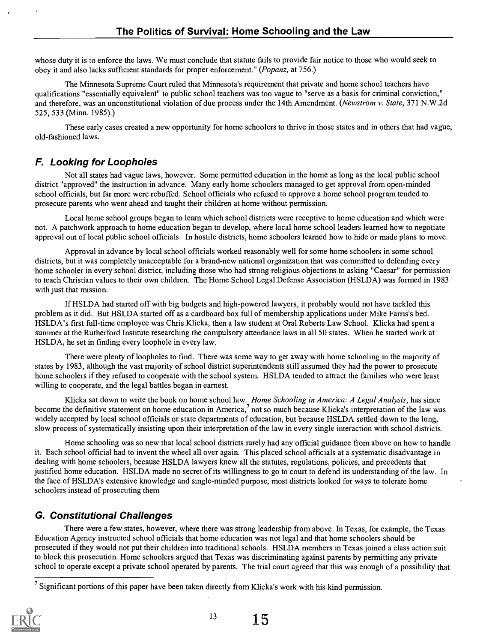whose duty it is to enforce the laws. We must conclude that statute fails to provide fair notice to those who would seek to obey it and also lacks sufficient standards for proper enforcement." (Popanz, at 756.)

The Minnesota Supreme Court ruled that Minnesota's requirement that private and home school teachers have qualifications "essentially equivalent" to public school teachers was too vague to "serve as a basis for criminal conviction," and therefore, was an unconstitutional violation of due process under the 14th Amendment. (Newstrom v. State, 371 N.W.2d 525, 533 (Minn. 1985).)

These early cases created a new opportunity for home schoolers to thrive in those states and in others that had vague, old-fashioned laws.

#### F. Looking for Loopholes

Not all states had vague laws, however. Some permitted education in the home as long as the local public school district "approved" the instruction in advance. Many early home schoolers managed to get approval from open-minded school officials, but far more were rebuffed. School officials who refused to approve a home school program tended to prosecute parents who went ahead and taught their children at home without permission.

Local home school groups began to learn which school districts were receptive to home education and which were not. A patchwork approach to home education began to develop, where local home school leaders learned how to negotiate approval out of local public school officials. In hostile districts, home schoolers learned how to hide or made plans to move.

Approval in advance by local school officials worked reasonably well for some home schoolers in some school districts, but it was completely unacceptable for a brand-new national organization that was committed to defending every home schooler in every school district, including those who had strong religious objections to asking "Caesar" for permission to teach Christian values to their own children. The Home School Legal Defense Association (HSLDA) was formed in 1983 with just that mission.

If HSLDA had started off with big budgets and high-powered lawyers, it probably would not have tackled this problem as it did. But HSLDA started off as a cardboard box full of membership applications under Mike Farris's bed. HSLDA's first full-time employee was Chris Klicka, then a law student at Oral Roberts Law School. Klicka had spent a summer at the Rutherford Institute researching the compulsory attendance laws in all 50 states. When he started work at HSLDA, he set in finding every loophole in every law.

There'were plenty of loopholes to find. There was some way to get away with home schooling in the majority of states by 1983, although the vast majority of school district superintendents still assumed they had the power to prosecute home schoolers if they refused to cooperate with the school system. HSLDA tended to attract the families who were least willing to cooperate, and the legal battles began in earnest.

Klicka sat down to write the book on home school law. Home Schooling in America: A Legal Analysis, has since become the definitive statement on home education in America,' not so much because Klicka's interpretation of the law was widely accepted by local school officials or state departments of education, but because HSLDA settled down to the long, slow process of systematically insisting upon their interpretation of the law in every single interaction with school districts.

Home schooling was so new that local school districts rarely had any official guidance from above on how to handle it. Each school official had to invent the wheel all over again. This placed school officials at a systematic disadvantage in dealing with home schoolers, because HSLDA lawyers knew all the statutes, regulations, policies, and precedents that justified home education. HSLDA made no secret of its willingness to go to court to defend its understanding of the law. In the face of HSLDA's extensive knowledge and single-minded purpose, most districts looked for ways to tolerate home schoolers instead of prosecuting them

#### G. Constitutional Challenges

There were a few states, however, where there was strong leadership from above. In Texas, for example, the Texas Education Agency instructed school officials that home education was not legal and that home schoolers should be prosecuted if they would not put their children into traditional schools. HSLDA members in Texas joined a class action suit to block this prosecution. Home schoolers argued that Texas was discriminating against parents by permitting any private school to operate except a private school operated by parents. The trial court agreed that this was enough of a possibility that

<sup>&</sup>lt;sup>7</sup> Significant portions of this paper have been taken directly from Klicka's work with his kind permission.



 $13 \t 15$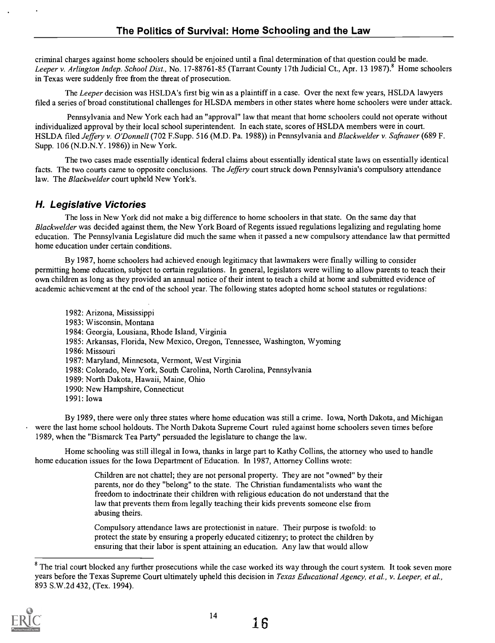criminal charges against home schoolers should be enjoined until a final determination of that question could be made. Leeper v. Arlington Indep. School Dist., No. 17-88761-85 (Tarrant County 17th Judicial Ct., Apr. 13 1987).8 Home schoolers in Texas were suddenly free from the threat of prosecution.

The Leeper decision was HSLDA's first big win as a plaintiff in a case. Over the next few years, HSLDA lawyers filed a series of broad constitutional challenges for HLSDA members in other states where home schoolers were under attack.

Pennsylvania and New York each had an "approval" law that meant that home schoolers could not operate without individualized approval by their local school superintendent. In each state, scores of HSLDA members were in court. HSLDA filed Jeffery v. O'Donnell (702 F.Supp. 516 (M.D. Pa. 1988)) in Pennsylvania and Blackwelder v. Safnauer (689 F. Supp. 106 (N.D.N.Y. 1986)) in New York.

The two cases made essentially identical federal claims about essentially identical state laws on essentially identical facts. The two courts came to opposite conclusions. The *Jeffery* court struck down Pennsylvania's compulsory attendance law. The Blackwelder court upheld New York's.

#### H. Legislative Victories

The loss in New York did not make a big difference to home schoolers in that state. On the same day that Blackwelder was decided against them, the New York Board of Regents issued regulations legalizing and regulating home education. The Pennsylvania Legislature did much the same when it passed a new compulsory attendance law that permitted home education under certain conditions.

By 1987, home schoolers had achieved enough legitimacy that lawmakers were finally willing to consider permitting home education, subject to certain regulations. In general, legislators were willing to allow parents to teach their own children as long as they provided an annual notice of their intent to teach a child at home and submitted evidence of academic achievement at the end of the school year. The following states adopted home school statutes or regulations:

1982: Arizona, Mississippi 1983: Wisconsin, Montana 1984: Georgia, Lousiana, Rhode Island, Virginia 1985: Arkansas, Florida, New Mexico, Oregon, Tennessee, Washington, Wyoming 1986: Missouri 1987: Maryland, Minnesota, Vermont, West Virginia 1988: Colorado, New York, South Carolina, North Carolina, Pennsylvania 1989: North Dakota, Hawaii, Maine, Ohio 1990: New Hampshire, Connecticut 1991: Iowa

By 1989, there were only three states where home education was still a crime. Iowa, North Dakota, and Michigan were the last home school holdouts. The North Dakota Supreme Court ruled against home schoolers seven times before 1989, when the "Bismarck Tea Party" persuaded the legislature to change the law.

Home schooling was still illegal in Iowa, thanks in large part to Kathy Collins, the attorney who used to handle home education issues for the Iowa Department of Education. In 1987, Attorney Collins wrote:

> Children are not chattel; they are not personal property. They are not "owned" by their parents, nor do they "belong" to the state. The Christian fundamentalists who want the freedom to indoctrinate their children with religious education do not understand that the law that prevents them from legally teaching their kids prevents someone else from abusing theirs.

Compulsory attendance laws are protectionist in nature. Their purpose is twofold: to protect the state by ensuring a properly educated citizenry; to protect the children by ensuring that their labor is spent attaining an education. Any law that would allow

<sup>&</sup>lt;sup>8</sup> The trial court blocked any further prosecutions while the case worked its way through the court system. It took seven more years before the Texas Supreme Court ultimately upheld this decision in Texas Educational Agency, et al., v. Leeper, et al., 893 S.W.2d 432, (Tex. 1994).

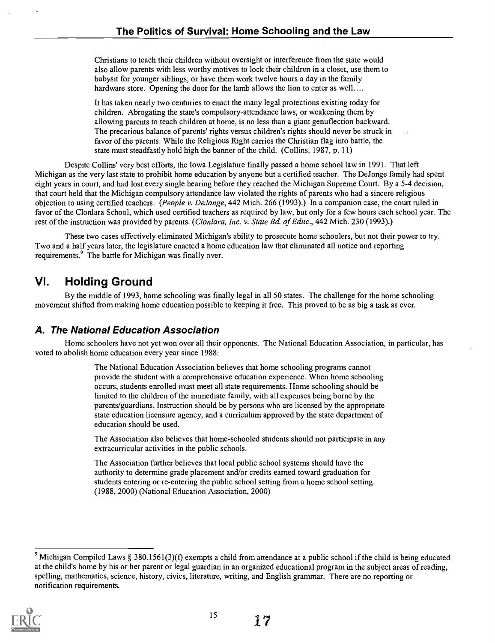Christians to teach their children without oversight or interference from the state would also allow parents with less worthy motives to lock their children in a closet, use them to babysit for younger siblings, or have them work twelve hours a day in the family hardware store. Opening the door for the lamb allows the lion to enter as well....

It has taken nearly two centuries to enact the many legal protections existing today for children. Abrogating the state's compulsory-attendance laws, or weakening them by allowing parents to teach children at home, is no less than a giant genuflection backward. The precarious balance of parents' rights versus children's rights should never be struck in favor of the parents. While the Religious Right carries the Christian flag into battle, the state must steadfastly hold high the banner of the child. (Collins, 1987, p. 11)

Despite Collins' very best efforts, the Iowa Legislature finally passed a home school law in 1991. That left Michigan as the very last state to prohibit home education by anyone but a certified teacher. The DeJonge family had spent eight years in court, and had lost every single hearing before they reached the Michigan Supreme Court. By a 5-4 decision, that court held that the Michigan compulsory attendance law violated the rights of parents who had a sincere religious objection to using certified teachers. (People v. DeJonge, 442 Mich. 266 (1993).) In a companion case, the court ruled in favor of the Clonlara School, which used certified teachers as required by law, but only for a few hours each school year. The rest of the instruction was provided by parents. (Clonlara, Inc. v. State Bd. of Educ., 442 Mich. 230 (1993).)

These two cases effectively eliminated Michigan's ability to prosecute home schoolers, but not their power to try. Two and a half years later, the legislature enacted a home education law that eliminated all notice and reporting requirements.<sup>9</sup> The battle for Michigan was finally over.

### VI. Holding Ground

By the middle of 1993, home schooling was finally legal in all 50 states. The challenge for the home schooling movement shifted from making home education possible to keeping it free. This proved to be as big a task as ever.

#### A. The National Education Association

Home schoolers have not yet won over all their opponents. The National Education Association, in particular, has voted to abolish home education every year since 1988:

> The National Education Association believes that home schooling programs cannot provide the student with a comprehensive education experience. When home schooling occurs, students enrolled must meet all state requirements. Home schooling should be limited to the children of the immediate family, with all expenses being borne by the parents/guardians. Instruction should be by persons who are licensed by the appropriate state education licensure agency, and a curriculum approved by the state department of education should be used.

> The Association also believes that home-schooled students should not participate in any extracurricular activities in the public schools.

The Association further believes that local public school systems should have the authority to determine grade placement and/or credits earned toward graduation for students entering or re-entering the public school setting from a home school setting. (1988, 2000) (National Education Association, 2000)

<sup>&</sup>lt;sup>9</sup> Michigan Compiled Laws § 380.1561(3)(f) exempts a child from attendance at a public school if the child is being educated at the child's home by his or her parent or legal guardian in an organized educational program in the subject areas of reading, spelling, mathematics, science, history, civics, literature, writing, and English grammar. There are no reporting or notification requirements.

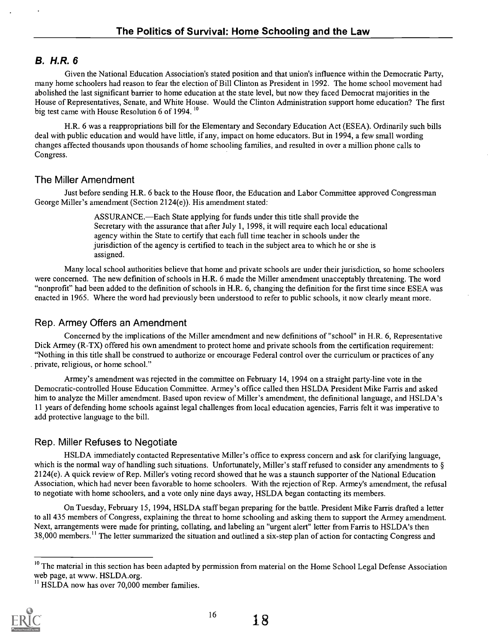#### B. H.R. 6

Given the National Education Association's stated position and that union's influence within the Democratic Party, many home schoolers had reason to fear the election of Bill Clinton as President in 1992. The home school movement had abolished the last significant barrier to home education at the state level, but now they faced Democrat majorities in the House of Representatives, Senate, and White House. Would the Clinton Administration support home education? The first big test came with House Resolution 6 of 1994.<sup>10</sup>

H.R. 6 was a reappropriations bill for the Elementary and Secondary Education Act (ESEA). Ordinarily such bills deal with public education and would have little, if any, impact on home educators. But in 1994, a few small wording changes affected thousands upon thousands of home schooling families, and resulted in over a million phone calls to Congress.

#### The Miller Amendment

Just before sending H.R. 6 back to the House floor, the Education and Labor Committee approved Congressman George Miller's amendment (Section 2124(e)). His amendment stated:

> ASSURANCE.—Each State applying for funds under this title shall provide the Secretary with the assurance that after July 1, 1998, it will require each local educational agency within the State to certify that each full time teacher in schools under the jurisdiction of the agency is certified to teach in the subject area to which he or she is assigned.

Many local school authorities believe that home and private schools are under their jurisdiction, so home schoolers were concerned. The new defmition of schools in H.R. 6 made the Miller amendment unacceptably threatening. The word "nonprofit" had been added to the definition of schools in H.R. 6, changing the definition for the first time since ESEA was enacted in 1965. Where the word had previously been understood to refer to public schools, it now clearly meant more.

#### Rep. Armey Offers an Amendment

Concerned by the implications of the Miller amendment and new definitions of "school" in H.R. 6, Representative Dick Armey (R-TX) offered his own amendment to protect home and private schools from the certification requirement: "Nothing in this title shall be construed to authorize or encourage Federal control over the curriculum or practices of any . private, religious, or home school."

Armey's amendment was rejected in the committee on February 14, 1994 on a straight party-line vote in the Democratic-controlled House Education Committee. Armey's office called then HSLDA President Mike Farris and asked him to analyze the Miller amendment. Based upon review of Miller's amendment, the definitional language, and HSLDA's 11 years of defending home schools against legal challenges from local education agencies, Farris felt it was imperative to add protective language to the bill.

#### Rep. Miller Refuses to Negotiate

HSLDA immediately contacted Representative Miller's office to express concern and ask for clarifying language, which is the normal way of handling such situations. Unfortunately, Miller's staff refused to consider any amendments to  $\S$ 2124(e). A quick review of Rep. Miller's voting record showed that he was a staunch supporter of the National Education Association, which had never been favorable to home schoolers. With the rejection of Rep. Armey's amendment, the refusal to negotiate with home schoolers, and a vote only nine days away, HSLDA began contacting its members.

On Tuesday, February 15, 1994, HSLDA staff began preparing for the battle. President Mike Farris drafted a letter to all 435 members of Congress, explaining the threat to home schooling and asking them to support the Armey amendment. Next, arrangements were made for printing, collating, and labeling an "urgent alert" letter from Farris to HSLDA's then 38,000 members.<sup>11</sup> The letter summarized the situation and outlined a six-step plan of action for contacting Congress and

 $^{11}$  HSLDA now has over 70,000 member families.



<sup>&</sup>lt;sup>10</sup> The material in this section has been adapted by permission from material on the Home School Legal Defense Association web page, at www. HSLDA.org.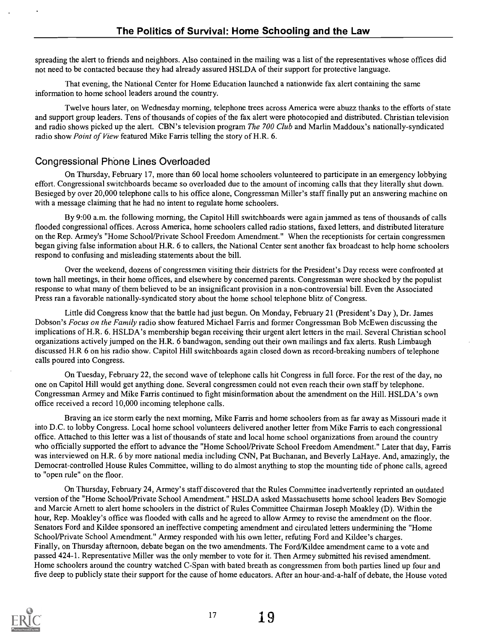spreading the alert to friends and neighbors. Also contained in the mailing was a list of the representatives whose offices did not need to be contacted because they had already assured HSLDA of their support for protective language.

That evening, the National Center for Home Education launched a nationwide fax alert containing the same information to home school leaders around the country.

Twelve hours later, on Wednesday morning, telephone trees across America were abuzz thanks to the efforts of state and support group leaders. Tens of thousands of copies of the fax alert were photocopied and distributed. Christian television and radio shows picked up the alert. CBN's television program The 700 Club and Marlin Maddoux's nationally-syndicated radio show Point of View featured Mike Farris telling the story of H.R. 6.

#### Congressional Phone Lines Overloaded

On Thursday, February 17, more than 60 local home schoolers volunteered to participate in an emergency lobbying effort. Congressional switchboards became so overloaded due to the amount of incoming calls that they literally shut down. Besieged by over 20,000 telephone calls to his office alone, Congressman Miller's staff finally put an answering machine on with a message claiming that he had no intent to regulate home schoolers.

By 9:00 a.m. the following morning, the Capitol Hill switchboards were again jammed as tens of thousands of calls flooded congressional offices. Across America, home schoolers called radio stations, faxed letters, and distributed literature on the Rep. Armey's "Home School/Private School Freedom Amendment." When the receptionists for certain congressmen began giving false information about H.R. 6 to callers, the National Center sent another fax broadcast to help home schoolers respond to confusing and misleading statements about the bill.

Over the weekend, dozens of congressmen visiting their districts for the President's Day recess were confronted at town hall meetings, in their home offices, and elsewhere by concerned parents. Congressman were shocked by the populist response to what many of them believed to be an insignificant provision in a non-controversial bill. Even the Associated Press ran a favorable nationally-syndicated story about the home school telephone blitz of Congress.

Little did Congress know that the battle had just begun. On Monday, February 21 (President's Day ), Dr. James Dobson's Focus on the Family radio show featured Michael Farris and former Congressman Bob McEwen discussing the implications of H.R. 6. HSLDA's membership began receiving their urgent alert letters in the mail. Several Christian school organizations actively jumped on the H.R. 6 bandwagon, sending out their own mailings and fax alerts. Rush Limbaugh discussed H.R 6 on his radio show. Capitol Hill switchboards again closed down as record-breaking numbers of telephone calls poured into Congress.

On Tuesday, February 22, the second wave of telephone calls hit Congress in full force. For the rest of the day, no one on Capitol Hill would get anything done. Several congressmen could not even reach their own staff by telephone. Congressman Armey and Mike Farris continued to fight misinformation about the amendment on the Hill. HSLDA's own office received a record 10,000 incoming telephone calls.

Braving an ice storm early the next morning, Mike Farris and home schoolers from as far away as Missouri made it into D.C. to lobby Congress. Local home school volunteers delivered another letter from Mike Farris to each congressional office. Attached to this letter was a list of thousands of state and local home school organizations from around the country who officially supported the effort to advance the "Home School/Private School Freedom Amendment." Later that day, Farris was interviewed on H.R. 6 by more national media including CNN, Pat Buchanan, and Beverly LaHaye. And, amazingly, the Democrat-controlled House Rules Committee, willing to do almost anything to stop the mounting tide of phone calls, agreed to "open rule" on the floor.

On Thursday, February 24, Armey's staff discovered that the Rules Committee inadvertently reprinted an outdated version of the "Home School/Private School Amendment." HSLDA asked Massachusetts home school leaders Bev Somogie and Marcie Arnett to alert home schoolers in the district of Rules Committee Chairman Joseph Moakley (D). Within the hour, Rep. Moakley's office was flooded with calls and he agreed to allow Armey to revise the amendment on the floor. Senators Ford and Kildee sponsored an ineffective competing amendment and circulated letters undermining the "Home School/Private School Amendment." Armey responded with his own letter, refuting Ford and Kildee's charges. Finally, on Thursday afternoon, debate began on the two amendments. The Ford/Kildee amendment came to a vote and passed 424-1. Representative Miller was the only member to vote for it. Then Armey submitted his revised amendment. Home schoolers around the country watched C-Span with bated breath as congressmen from both parties lined up four and five deep to publicly state their support for the cause of home educators. After an hour-and-a-half of debate, the House voted



17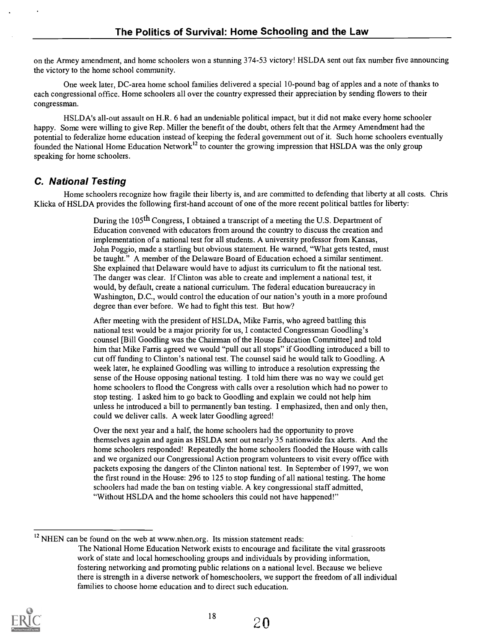on the Armey amendment, and home schoolers won a stunning 374-53 victory! HSLDA sent out fax number five announcing the victory to the home school community.

One week later, DC-area home school families delivered a special 10-pound bag of apples and a note of thanks to each congressional office. Home schoolers all over the country expressed their appreciation by sending flowers to their congressman.

HSLDA's all-out assault on H.R. 6 had an undeniable political impact, but it did not make every home schooler happy. Some were willing to give Rep. Miller the benefit of the doubt, others felt that the Armey Amendment had the potential to federalize home education instead of keeping the federal government out of it. Such home schoolers eventually founded the National Home Education Network<sup>12</sup> to counter the growing impression that HSLDA was the only group speaking for home schoolers.

#### C. National Testing

Home schoolers recognize how fragile their liberty is, and are committed to defending that liberty at all costs. Chris Klicka of HSLDA provides the following first-hand account of one of the more recent political battles for liberty:

> During the 105<sup>th</sup> Congress, I obtained a transcript of a meeting the U.S. Department of Education convened with educators from around the country to discuss the creation and implementation of a national test for all students. A university professor from Kansas, John Poggio, made a startling but obvious statement. He warned, "What gets tested, must be taught." A member of the Delaware Board of Education echoed a similar sentiment. She explained that Delaware would have to adjust its curriculum to fit the national test. The danger was clear. If Clinton was able to create and implement a national test, it would, by default, create a national curriculum. The federal education bureaucracy in Washington, D.C., would control the education of our nation's youth in a more profound degree than ever before. We had to fight this test. But how?

> After meeting with the president of HSLDA, Mike Farris, who agreed battling this national test would be a major priority for us, I contacted Congressman Goodling's counsel [Bill Goodling was the Chairman of the House Education Committee] and told him that Mike Farris agreed we would "pull out all stops" if Goodling introduced a bill to cut off funding to Clinton's national test. The counsel said he would talk to Goodling. A week later, he explained Goodling was willing to introduce a resolution expressing the sense of the House opposing national testing. I told him there was no way we could get home schoolers to flood the Congress with calls over a resolution which had no power to stop testing. I asked him to go back to Goodling and explain we could not help him unless he introduced a bill to permanently ban testing. I emphasized, then and only then, could we deliver calls. A week later Goodling agreed!

> Over the next year and a half, the home schoolers had the opportunity to prove themselves again and again as HSLDA sent out nearly 35 nationwide fax alerts. And the home schoolers responded! Repeatedly the home schoolers flooded the House with calls and we organized our Congressional Action program volunteers to visit every office with packets exposing the dangers of the Clinton national test. In September of 1997, we won the first round in the House: 296 to 125 to stop funding of all national testing. The home schoolers had made the ban on testing viable. A key congressional staff admitted, "Without HSLDA and the home schoolers this could not have happened!"

The National Home Education Network exists to encourage and facilitate the vital grassroots work of state and local homeschooling groups and individuals by providing information, fostering networking and promoting public relations on a national level. Because we believe there is strength in a diverse network of homeschoolers, we support the freedom of all individual families to choose home education and to direct such education.



 $12$  NHEN can be found on the web at www.nhen.org. Its mission statement reads: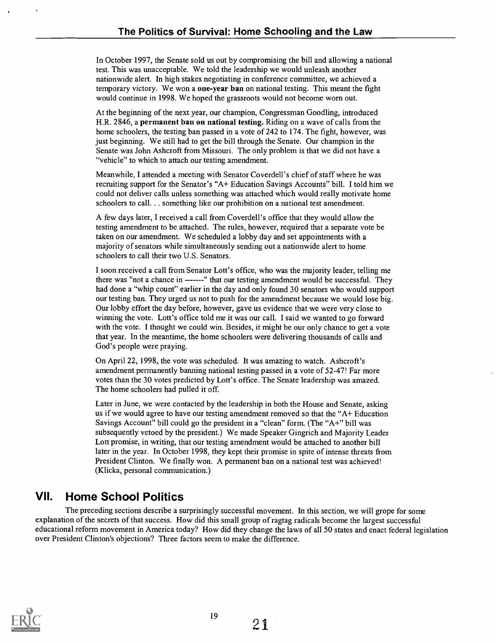In October 1997, the Senate sold us out by compromising the bill and allowing a national test. This was unacceptable. We told the leadership we would unleash another nationwide alert. In high stakes negotiating in conference committee, we achieved a temporary victory. We won a one-year ban on national testing. This meant the fight would continue in 1998. We hoped the grassroots would not become worn out.

At the beginning of the next year, our champion, Congressman Goodling, introduced H.R. 2846, a permanent ban on national testing. Riding on a wave of calls from the home schoolers, the testing ban passed in a vote of 242 to 174. The fight, however, was just beginning. We still had to get the bill through the Senate. Our champion in the Senate was John Ashcroft from Missouri. The only problem is that we did not have a "vehicle" to which to attach our testing amendment.

Meanwhile, I attended a meeting with Senator Coverdell's chief of staff where he was recruiting support for the Senator's "A+ Education Savings Accounts" bill. I told him we could not deliver calls unless something was attached which would really motivate home schoolers to call. . . something like our prohibition on a national test amendment.

A few days later, I received a call from Coverdell's office that they would allow the testing amendment to be attached. The rules, however, required that a separate vote be taken on our amendment. We scheduled a lobby day and set appointments with a majority of senators while simultaneously sending out a nationwide alert to home schoolers to call their two U.S. Senators.

I soon received a call from Senator Lott's office, who was the majority leader, telling me there was "not a chance in -------" that our testing amendment would be successful. They had done a "whip count" earlier in the day and only found 30 senators who would support our testing ban. They urged us not to push for the amendment because we would lose big. Our lobby effort the day before, however, gave us evidence that we were very close to winning the vote. Lott's office told me it was our call. I said we wanted to go forward with the vote. I thought we could win. Besides, it might be our only chance to get a vote that year. In the meantime, the home schoolers were delivering thousands of calls and God's people were praying.

On April 22, 1998, the vote was scheduled. It was amazing to watch. Ashcroft's amendment permanently banning national testing passed in a vote of 52-47! Far more votes than the 30 votes predicted by Lott's office. The Senate leadership was amazed. The home schoolers had pulled it off.

Later in June, we were contacted by the leadership in both the House and Senate, asking us if we would agree to have our testing amendment removed so that the "A+ Education Savings Account" bill could go the president in a "clean" form. (The "A+" bill was subsequently vetoed by the president.) We made Speaker Gingrich and Majority Leader Lott promise, in writing, that our testing amendment would be attached to another bill later in the year. In October 1998, they kept their promise in spite of intense threats from President Clinton. We finally won. A permanent ban on a national test was achieved! (Klicka, personal communication.)

### VII. Home School Politics

The preceding sections describe a surprisingly successful movement. In this section, we will grope for some explanation of the secrets of that success. How did this small group of ragtag radicals become the largest successful educational reform movement in America today? How did they change the laws of all 50 states and enact federal legislation over President Clinton's objections? Three factors seem to make the difference.

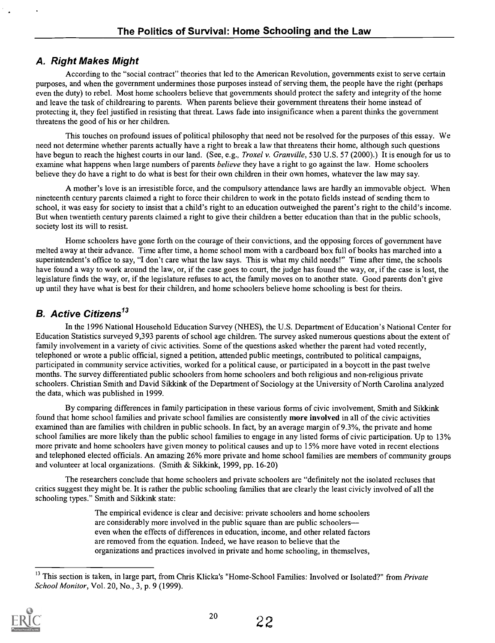#### A. Right Makes Might

According to the "social contract" theories that led to the American Revolution, governments exist to serve certain purposes, and when the government undermines those purposes instead of serving them, the people have the right (perhaps even the duty) to rebel. Most home schoolers believe that governments should protect the safety and integrity of the home and leave the task of childrearing to parents. When parents believe their government threatens their home instead of protecting it, they feel justified in resisting that threat. Laws fade into insignificance when a parent thinks the government threatens the good of his or her children.

This touches on profound issues of political philosophy that need not be resolved for the purposes of this essay. We need not determine whether parents actually have a right to break a law that threatens their home, although such questions have begun to reach the highest courts in our land. (See, e.g., *Troxel v. Granville*, 530 U.S. 57 (2000).) It is enough for us to examine what happens when large numbers of parents *believe* they have a right to go against the law. Home schoolers believe they do have a right to do what is best for their own children in their own homes, whatever the law may say.

A mother's love is an irresistible force, and the compulsory attendance laws are hardly an immovable object. When nineteenth century parents claimed a right to force their children to work in the potato fields instead of sending them to school, it was easy for society to insist that a child's right to an education outweighed the parent's right to the child's income. But when twentieth century parents claimed a right to give their children a better education than that in the public schools, society lost its will to resist.

Home schoolers have gone forth on the courage of their convictions, and the opposing forces of government have melted away at their advance. Time after time, a home school mom with a cardboard box full of books has marched into a superintendent's office to say, "I don't care what the law says. This is what my child needs!" Time after time, the schools have found a way to work around the law, or, if the case goes to court, the judge has found the way, or, if the case is lost, the legislature finds the way, or, if the legislature refuses to act, the family moves on to another state. Good parents don't give up until they have what is best for their children, and home schoolers believe home schooling is best for theirs.

### **B.** Active Citizens<sup>13</sup>

In the 1996 National Household Education Survey (NHES), the U.S. Department of Education's National Center for Education Statistics surveyed 9,393 parents of school age children. The survey asked numerous questions about the extent of family involvement in a variety of civic activities. Some of the questions asked whether the parent had voted recently, telephoned or wrote a public official, signed a petition, attended public meetings, contributed to political campaigns, participated in community service activities, worked for a political cause, or participated in a boycott in the past twelve months. The survey differentiated public schoolers from home schoolers and both religious and non-religious private schoolers. Christian Smith and David Sikkink of the Department of Sociology at the University of North Carolina analyzed the data, which was published in 1999.

By comparing differences in family participation in these various forms of civic involvement, Smith and Sikkink found that home school families and private school families are consistently more involved in all of the civic activities examined than are families with children in public schools. In fact, by an average margin of 9.3%, the private and home school families are more likely than the public school families to engage in any listed forms of civic participation. Up to 13% more private and home schoolers have given money to political causes and up to 15% more have voted in recent elections and telephoned elected officials. An amazing 26% more private and home school families are members of community groups and volunteer at local organizations. (Smith & Sikkink, 1999, pp. 16-20)

The researchers conclude that home schoolers and private schoolers are "definitely not the isolated recluses that critics suggest they might be. It is rather the public schooling families that are clearly the least civicly involved of all the schooling types." Smith and Sikkink state:

> The empirical evidence is clear and decisive: private schoolers and home schoolers are considerably more involved in the public square than are public schoolers even when the effects of differences in education, income, and other related factors are removed from the equation. Indeed, we have reason to believe that the organizations and practices involved in private and home schooling, in themselves,

<sup>&</sup>lt;sup>13</sup> This section is taken, in large part, from Chris Klicka's "Home-School Families: Involved or Isolated?" from Private School Monitor, Vol. 20, No., 3, p. 9 (1999).

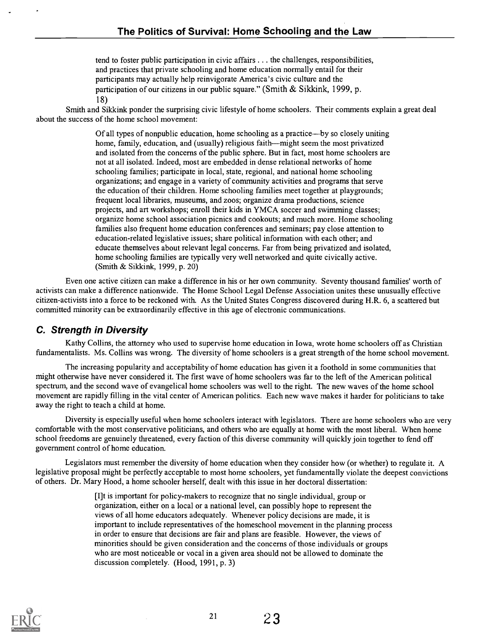tend to foster public participation in civic affairs . . . the challenges, responsibilities, and practices that private schooling and home education normally entail for their participants may actually help reinvigorate America's civic culture and the participation of our citizens in our public square." (Smith & Sikkink, 1999, p. 18)

Smith and Sikkink ponder the surprising civic lifestyle of home schoolers. Their comments explain a great deal about the success of the home school movement:

> Of all types of nonpublic education, home schooling as a practice—by so closely uniting home, family, education, and (usually) religious faith—might seem the most privatized and isolated from the concerns of the public sphere. But in fact, most home schoolers are not at all isolated. Indeed, most are embedded in dense relational networks of home schooling families; participate in local, state, regional, and national home schooling organizations; and engage in a variety of community activities and programs that serve the education of their children. Home schooling families meet together at playgrounds; frequent local libraries, museums, and zoos; organize drama productions, science projects, and art workshops; enroll their kids in YMCA soccer and swimming classes; organize home school association picnics and cookouts; and much more. Home schooling families also frequent home education conferences and seminars; pay close attention to education-related legislative issues; share political information with each other; and educate themselves about relevant legal concerns. Far from being privatized and isolated, home schooling families are typically very well networked and quite civically active. (Smith & Sikkink, 1999, p. 20)

Even one active citizen can make a difference in his or her own community. Seventy thousand families' worth of activists can make a difference nationwide. The Home School Legal Defense Association unites these unusually effective citizen-activists into a force to be reckoned with. As the United States Congress discovered during H.R. 6, a scattered but committed minority can be extraordinarily effective in this age of electronic communications.

#### C. Strength in Diversity

Kathy Collins, the attorney who used to supervise home education in Iowa, wrote home schoolers off as Christian fundamentalists. Ms. Collins was wrong. The diversity of home schoolers is a great strength of the home school movement.

The increasing popularity and acceptability of home education has given it a foothold in some communities that might otherwise have never considered it. The first wave of home schoolers was far to the left of the American political spectrum, and the second wave of evangelical home schoolers was well to the right. The new waves of the home school movement are rapidly filling in the vital center of American politics. Each new wave makes it harder for politicians to take away the right to teach a child at home.

Diversity is especially useful when home schoolers interact with legislators. There are home schoolers who are very comfortable with the most conservative politicians, and others who are equally at home with the most liberal. When home school freedoms are genuinely threatened, every faction of this diverse community will quickly join together to fend off government control of home education.

Legislators must remember the diversity of home education when they consider how (or whether) to regulate it. A legislative proposal might be perfectly acceptable to most home schoolers, yet fundamentally violate the deepest convictions of others. Dr. Mary Hood, a home schooler herself, dealt with this issue in her doctoral dissertation:

> [I]t is important for policy-makers to recognize that no single individual, group or organization, either on a local or a national level, can possibly hope to represent the views of all home educators adequately. Whenever policy decisions are made, it is important to include representatives of the homeschool movement in the planning process in order to ensure that decisions are fair and plans are feasible. However, the views of minorities should be given consideration and the concerns of those individuals or groups who are most noticeable or vocal in a given area should not be allowed to dominate the discussion completely. (Hood, 1991, p. 3)



23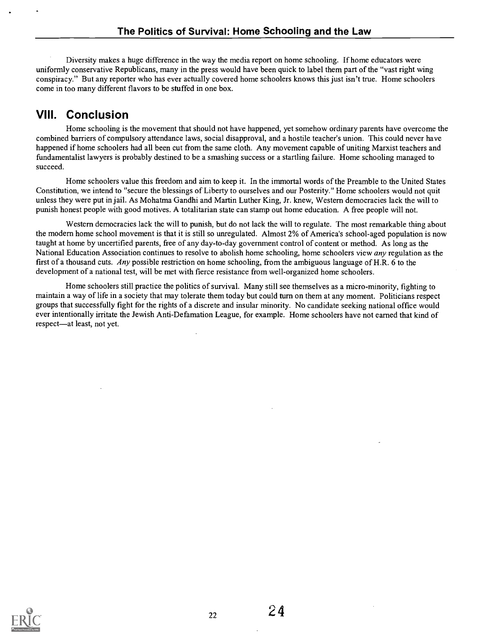Diversity makes a huge difference in the way the media report on home schooling. If home educators were uniformly conservative Republicans, many in the press would have been quick to label them part of the "vast right wing conspiracy." But any reporter who has ever actually covered home schoolers knows this just isn't true. Home schoolers come in too many different flavors to be stuffed in one box.

### VIII. Conclusion

Home schooling is the movement that should not have happened, yet somehow ordinary parents have overcome the combined barriers of compulsory attendance laws, social disapproval, and a hostile teacher's union. This could never have happened if home schoolers had all been cut from the same cloth. Any movement capable of uniting Marxist teachers and fundamentalist lawyers is probably destined to be a smashing success or a startling failure. Home schooling managed to succeed.

Home schoolers value this freedom and aim to keep it. In the immortal words of the Preamble to the United States Constitution, we intend to "secure the blessings of Liberty to ourselves and our Posterity." Home schoolers would not quit unless they were put in jail. As Mohatma Gandhi and Martin Luther King, Jr. knew, Western democracies lack the will to punish honest people with good motives. A totalitarian state can stamp out home education. A free people will not.

Western democracies lack the will to punish, but do not lack the will to regulate. The most remarkable thing about the modern home school movement is that it is still so unregulated. Almost 2% of America's school-aged population is now taught at home by uncertified parents, free of any day-to-day government control of content or method. As long as the National Education Association continues to resolve to abolish home schooling, home schoolers view any regulation as the first of a thousand cuts. Any possible restriction on home schooling, from the ambiguous language of H.R. 6 to the development of a national test, will be met with fierce resistance from well-organized home schoolers.

Home schoolers still practice the politics of survival. Many still see themselves as a micro-minority, fighting to maintain a way of life in a society that may tolerate them today but could turn on them at any moment. Politicians respect groups that successfully fight for the rights of a discrete and insular minority. No candidate seeking national office would ever intentionally irritate the Jewish Anti-Defamation League, for example. Home schoolers have not earned that kind of respect—at least, not yet.

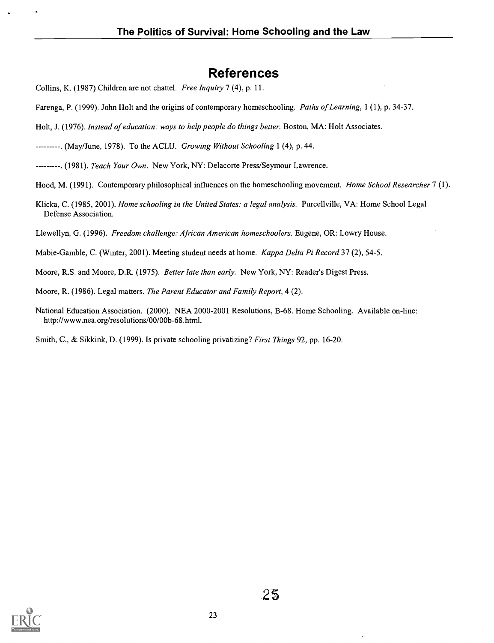### References

- Collins, K. (1987) Children are not chattel. Free Inquiry 7 (4), p. 11.
- Farenga, P. (1999). John Holt and the origins of contemporary homeschooling. Paths of Learning, 1 (1), p. 34-37.
- Holt, J. (1976). Instead of education: ways to help people do things better. Boston, MA: Holt Associates.
- . (May/June, 1978). To the ACLU. Growing Without Schooling 1 (4), p. 44.
- ............. (1981). Teach Your Own. New York, NY: Delacorte Press/Seymour Lawrence.
- Hood, M. (1991). Contemporary philosophical influences on the homeschooling movement. Home School Researcher 7 (1).
- Klicka, C. (1985, 2001). Home schooling in the United States: a legal analysis. Purcellville, VA: Home School Legal Defense Association.
- Llewellyn, G. (1996). Freedom challenge: African American homeschoolers. Eugene, OR: Lowry House.
- Mabie-Gamble, C. (Winter, 2001). Meeting student needs at home. Kappa Delta Pi Record 37 (2), 54-5.
- Moore, R.S. and Moore, D.R. (1975). Better late than early. New York, NY: Reader's Digest Press.
- Moore, R. (1986). Legal matters. The Parent Educator and Family Report, 4 (2).
- National Education Association. (2000). NEA 2000-2001 Resolutions, B-68. Home Schooling. Available on-line: http://www.nea.org/resolutions/00/00b-68.html.

Smith, C., & Sikkink, D. (1999). Is private schooling privatizing? First Things 92, pp. 16-20.

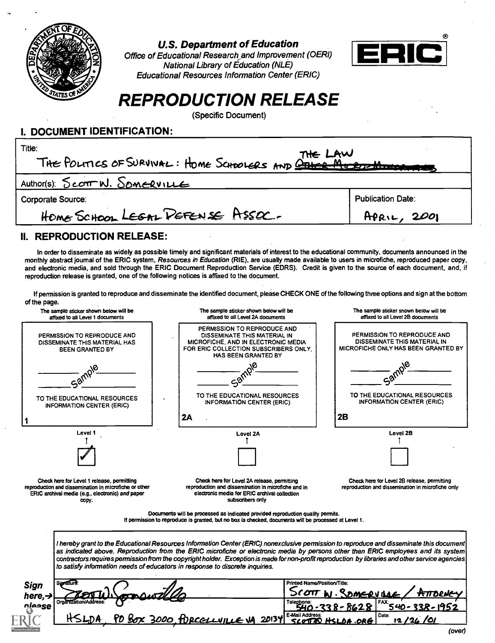

#### U.S. Department of Education

Office of Educational Research and Improvement (OERI) National Library of Education (NLE) Educational Resources Information Center (ERIC)



# REPRODUCTION RELEASE

(Specific Document)

#### I. DOCUMENT IDENTIFICATION:

| I. DOCUMENT IDENTIFICATION:                                                                                                                                      |                                                                                                                                                                                                                                                                                                                                                                                                                                                              |                                                                                                    |
|------------------------------------------------------------------------------------------------------------------------------------------------------------------|--------------------------------------------------------------------------------------------------------------------------------------------------------------------------------------------------------------------------------------------------------------------------------------------------------------------------------------------------------------------------------------------------------------------------------------------------------------|----------------------------------------------------------------------------------------------------|
| Title:                                                                                                                                                           | THE POLITICS OF SURVIVAL: HOME SCHOOLERS AND CO                                                                                                                                                                                                                                                                                                                                                                                                              |                                                                                                    |
|                                                                                                                                                                  |                                                                                                                                                                                                                                                                                                                                                                                                                                                              |                                                                                                    |
| Author(s): Scott W. SomeRVILLE                                                                                                                                   |                                                                                                                                                                                                                                                                                                                                                                                                                                                              |                                                                                                    |
| Corporate Source:                                                                                                                                                | <b>Publication Date:</b>                                                                                                                                                                                                                                                                                                                                                                                                                                     |                                                                                                    |
| Home School LEGAL PEFENSE ASSOC.                                                                                                                                 |                                                                                                                                                                                                                                                                                                                                                                                                                                                              | APRIL, 2001                                                                                        |
| II. REPRODUCTION RELEASE:                                                                                                                                        |                                                                                                                                                                                                                                                                                                                                                                                                                                                              |                                                                                                    |
| reproduction release is granted, one of the following notices is affixed to the document.                                                                        | In order to disseminate as widely as possible timely and significant materials of interest to the educational community, documents announced in the<br>monthly abstract journal of the ERIC system, Resources in Education (RIE), are usually made available to users in microfiche, reproduced paper copy,<br>and electronic media, and sold through the ERIC Document Reproduction Service (EDRS). Credit is given to the source of each document, and, if |                                                                                                    |
| of the page.                                                                                                                                                     | If permission is granted to reproduce and disseminate the identified document, please CHECK ONE of the following three options and sign at the bottom                                                                                                                                                                                                                                                                                                        |                                                                                                    |
| The sample sticker shown below will be<br>affixed to all Level 1 documents                                                                                       | The sample sticker shown below will be<br>affixed to all Level 2A documents                                                                                                                                                                                                                                                                                                                                                                                  | The sample sticker shown below will be<br>affixed to all Level 2B documents                        |
| PERMISSION TO REPRODUCE AND<br><b>DISSEMINATE THIS MATERIAL HAS</b><br><b>BEEN GRANTED BY</b>                                                                    | PERMISSION TO REPRODUCE AND<br>DISSEMINATE THIS MATERIAL IN<br>MICROFICHE, AND IN ELECTRONIC MEDIA<br>FOR ERIC COLLECTION SUBSCRIBERS ONLY.<br>HAS BEEN GRANTED BY                                                                                                                                                                                                                                                                                           | PERMISSION TO REPRODUCE AND<br>DISSEMINATE THIS MATERIAL IN<br>MICROFICHE ONLY HAS BEEN GRANTED BY |
|                                                                                                                                                                  |                                                                                                                                                                                                                                                                                                                                                                                                                                                              |                                                                                                    |
| TO THE EDUCATIONAL RESOURCES<br><b>INFORMATION CENTER (ERIC)</b>                                                                                                 | TO THE EDUCATIONAL RESOURCES<br><b>INFORMATION CENTER (ERIC)</b>                                                                                                                                                                                                                                                                                                                                                                                             | TO THE EDUCATIONAL RESOURCES<br>INFORMATION CENTER (ERIC)                                          |
|                                                                                                                                                                  | 2A                                                                                                                                                                                                                                                                                                                                                                                                                                                           | 2B                                                                                                 |
| Level 1                                                                                                                                                          | Level 2A                                                                                                                                                                                                                                                                                                                                                                                                                                                     | Level 2B                                                                                           |
|                                                                                                                                                                  |                                                                                                                                                                                                                                                                                                                                                                                                                                                              |                                                                                                    |
| Check here for Level 1 release, permitting<br>reproduction and dissemination in microfiche or other<br>ERIC archival media (e.g., electronic) and paper<br>сору. | Check here for Level 2A release, permitting<br>reproduction and dissemination in microfiche and in<br>electronic media for ERIC archival collection<br>subscribers only                                                                                                                                                                                                                                                                                      | Check here for Level 2B release, permitting<br>reproduction and dissemination in microfiche only   |
|                                                                                                                                                                  | Documents will be processed as indicated provided reproduction quality permits.<br>If permission to reproduce is granted, but no box is checked, documents will be processed at Leve! 1.                                                                                                                                                                                                                                                                     |                                                                                                    |
|                                                                                                                                                                  |                                                                                                                                                                                                                                                                                                                                                                                                                                                              |                                                                                                    |
| to satisfy information needs of educators in response to discrete inquiries.                                                                                     | I hereby grant to the Educational Resources Information Center (ERIC) nonexclusive permission to reproduce and disseminate this document<br>as indicated above. Reproduction from the ERIC microfiche or electronic media by persons other than ERIC employees and its system<br>contractors requires permission from the copyright holder. Exception is made for non-profit reproduction by libraries and other service agencies                            |                                                                                                    |
| Signature:<br>Sign                                                                                                                                               | Printed Name/Position/Title:                                                                                                                                                                                                                                                                                                                                                                                                                                 |                                                                                                    |
| here,→<br>Organization/Address                                                                                                                                   | Telephone:<br>540-                                                                                                                                                                                                                                                                                                                                                                                                                                           |                                                                                                    |
| nlease                                                                                                                                                           | <b>E-Mail Address:</b>                                                                                                                                                                                                                                                                                                                                                                                                                                       | Date:                                                                                              |